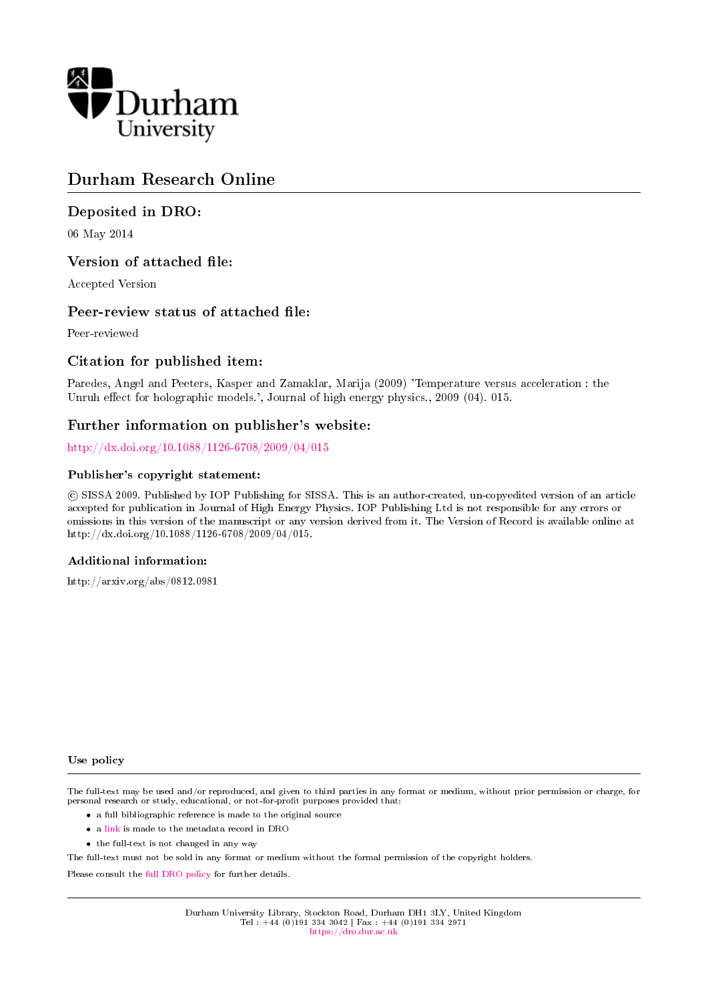

# Durham Research Online

### Deposited in DRO:

06 May 2014

### Version of attached file:

Accepted Version

### Peer-review status of attached file:

Peer-reviewed

### Citation for published item:

Paredes, Angel and Peeters, Kasper and Zamaklar, Marija (2009) 'Temperature versus acceleration : the Unruh effect for holographic models.', Journal of high energy physics., 2009 (04). 015.

### Further information on publisher's website:

<http://dx.doi.org/10.1088/1126-6708/2009/04/015>

#### Publisher's copyright statement:

 c SISSA 2009. Published by IOP Publishing for SISSA. This is an author-created, un-copyedited version of an article accepted for publication in Journal of High Energy Physics. IOP Publishing Ltd is not responsible for any errors or omissions in this version of the manuscript or any version derived from it. The Version of Record is available online at http://dx.doi.org/10.1088/1126-6708/2009/04/015.

#### Additional information:

http://arxiv.org/abs/0812.0981

#### Use policy

The full-text may be used and/or reproduced, and given to third parties in any format or medium, without prior permission or charge, for personal research or study, educational, or not-for-profit purposes provided that:

- a full bibliographic reference is made to the original source
- a [link](http://dro.dur.ac.uk/12331/) is made to the metadata record in DRO
- the full-text is not changed in any way

The full-text must not be sold in any format or medium without the formal permission of the copyright holders.

Please consult the [full DRO policy](https://dro.dur.ac.uk/policies/usepolicy.pdf) for further details.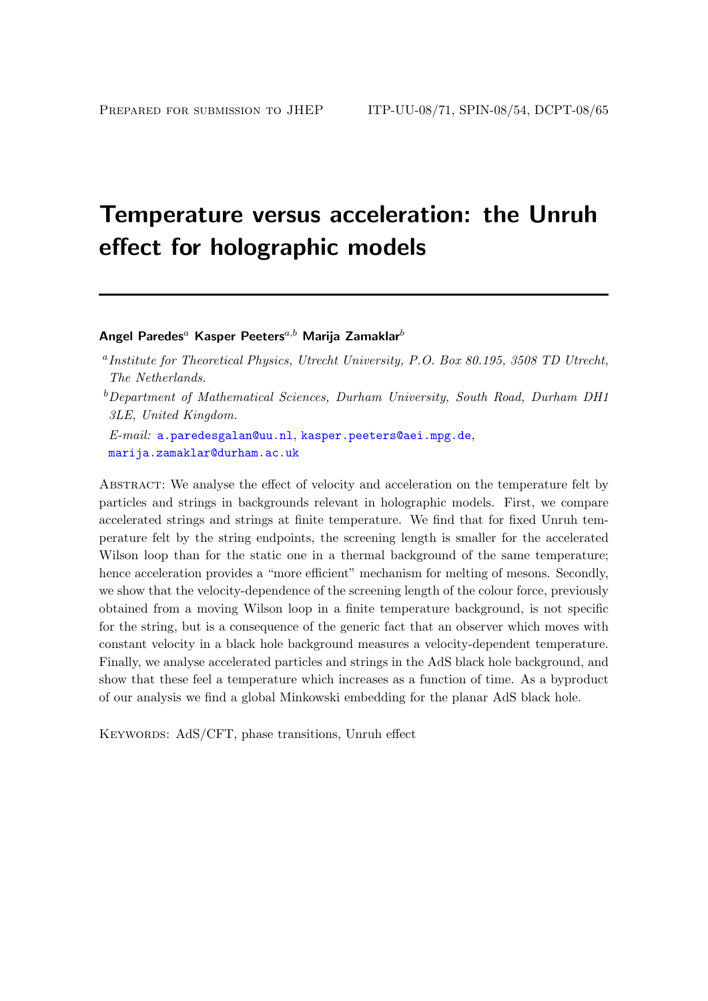# Temperature versus acceleration: the Unruh effect for holographic models

### Angel Paredes<sup>a</sup> Kasper Peeters<sup>a,b</sup> Marija Zamaklar<sup>b</sup>

<sup>a</sup> Institute for Theoretical Physics, Utrecht University, P.O. Box 80.195, 3508 TD Utrecht, The Netherlands.

 $b$ Department of Mathematical Sciences, Durham University, South Road, Durham DH1 3LE, United Kingdom.

E-mail: [a.paredesgalan@uu.nl](mailto:a.paredesgalan@uu.nl), [kasper.peeters@aei.mpg.de](mailto:kasper.peeters@aei.mpg.de), [marija.zamaklar@durham.ac.uk](mailto:marija.zamaklar@durham.ac.uk)

ABSTRACT: We analyse the effect of velocity and acceleration on the temperature felt by particles and strings in backgrounds relevant in holographic models. First, we compare accelerated strings and strings at finite temperature. We find that for fixed Unruh temperature felt by the string endpoints, the screening length is smaller for the accelerated Wilson loop than for the static one in a thermal background of the same temperature; hence acceleration provides a "more efficient" mechanism for melting of mesons. Secondly, we show that the velocity-dependence of the screening length of the colour force, previously obtained from a moving Wilson loop in a finite temperature background, is not specific for the string, but is a consequence of the generic fact that an observer which moves with constant velocity in a black hole background measures a velocity-dependent temperature. Finally, we analyse accelerated particles and strings in the AdS black hole background, and show that these feel a temperature which increases as a function of time. As a byproduct of our analysis we find a global Minkowski embedding for the planar AdS black hole.

Keywords: AdS/CFT, phase transitions, Unruh effect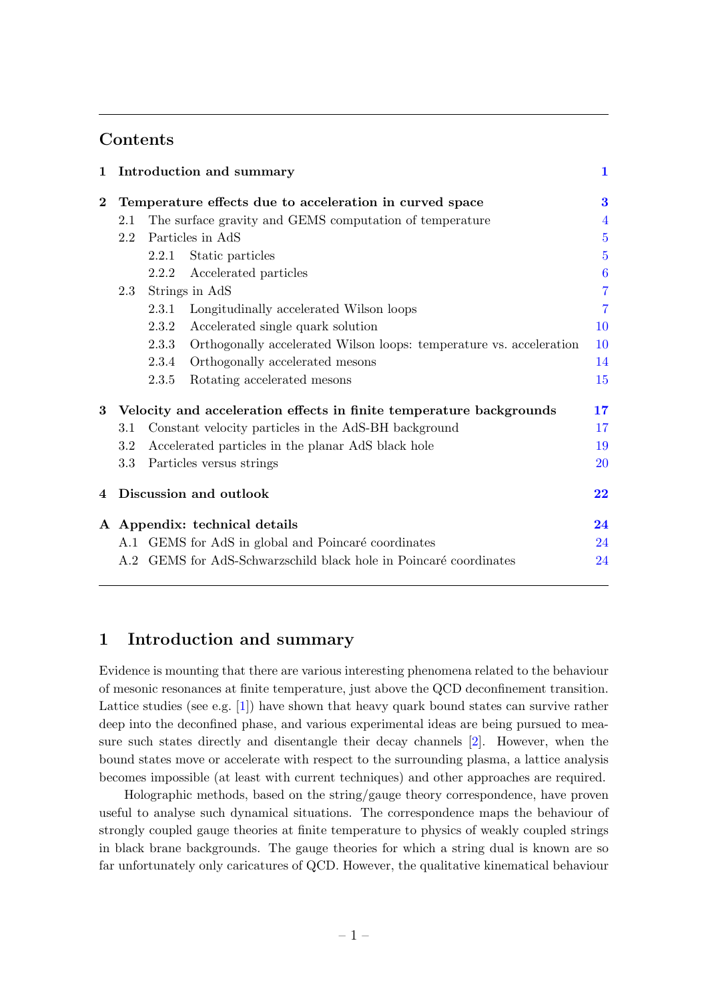### Contents

| 1        |                                                                     |                                                      | Introduction and summary                                            | 1                |
|----------|---------------------------------------------------------------------|------------------------------------------------------|---------------------------------------------------------------------|------------------|
| $\bf{2}$ |                                                                     |                                                      | Temperature effects due to acceleration in curved space             | 3                |
|          | 2.1                                                                 |                                                      | The surface gravity and GEMS computation of temperature             | $\overline{4}$   |
|          | 2.2                                                                 | Particles in AdS                                     |                                                                     | $\overline{5}$   |
|          |                                                                     | 2.2.1                                                | Static particles                                                    | $\overline{5}$   |
|          |                                                                     | 2.2.2                                                | Accelerated particles                                               | $\boldsymbol{6}$ |
|          | Strings in AdS<br>2.3                                               |                                                      |                                                                     | $\overline{7}$   |
|          |                                                                     | 2.3.1                                                | Longitudinally accelerated Wilson loops                             | $\overline{7}$   |
|          |                                                                     | 2.3.2                                                | Accelerated single quark solution                                   | 10               |
|          |                                                                     | 2.3.3                                                | Orthogonally accelerated Wilson loops: temperature vs. acceleration | 10               |
|          |                                                                     | 2.3.4                                                | Orthogonally accelerated mesons                                     | 14               |
|          |                                                                     | 2.3.5                                                | Rotating accelerated mesons                                         | 15               |
| 3        | Velocity and acceleration effects in finite temperature backgrounds |                                                      |                                                                     |                  |
|          | 3.1                                                                 | Constant velocity particles in the AdS-BH background |                                                                     | 17               |
|          | 3.2                                                                 |                                                      | Accelerated particles in the planar AdS black hole                  | 19               |
|          | 3.3                                                                 |                                                      | Particles versus strings                                            | <b>20</b>        |
| 4        | Discussion and outlook<br>$22\,$                                    |                                                      |                                                                     |                  |
|          | A Appendix: technical details                                       |                                                      |                                                                     |                  |
|          |                                                                     |                                                      | A.1 GEMS for AdS in global and Poincaré coordinates                 | 24               |
|          |                                                                     |                                                      | A.2 GEMS for AdS-Schwarzschild black hole in Poincaré coordinates   | 24               |

### <span id="page-2-0"></span>1 Introduction and summary

Evidence is mounting that there are various interesting phenomena related to the behaviour of mesonic resonances at finite temperature, just above the QCD deconfinement transition. Lattice studies (see e.g. [\[1\]](#page-26-0)) have shown that heavy quark bound states can survive rather deep into the deconfined phase, and various experimental ideas are being pursued to measure such states directly and disentangle their decay channels [\[2\]](#page-26-1). However, when the bound states move or accelerate with respect to the surrounding plasma, a lattice analysis becomes impossible (at least with current techniques) and other approaches are required.

Holographic methods, based on the string/gauge theory correspondence, have proven useful to analyse such dynamical situations. The correspondence maps the behaviour of strongly coupled gauge theories at finite temperature to physics of weakly coupled strings in black brane backgrounds. The gauge theories for which a string dual is known are so far unfortunately only caricatures of QCD. However, the qualitative kinematical behaviour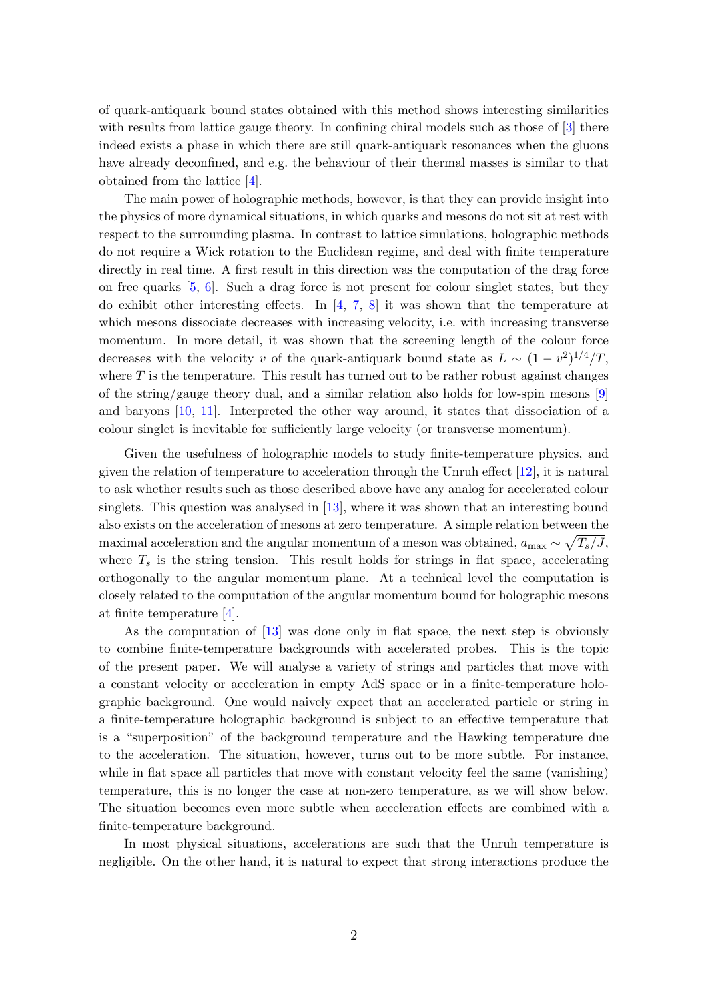of quark-antiquark bound states obtained with this method shows interesting similarities with results from lattice gauge theory. In confining chiral models such as those of [\[3\]](#page-26-2) there indeed exists a phase in which there are still quark-antiquark resonances when the gluons have already deconfined, and e.g. the behaviour of their thermal masses is similar to that obtained from the lattice [\[4\]](#page-26-3).

The main power of holographic methods, however, is that they can provide insight into the physics of more dynamical situations, in which quarks and mesons do not sit at rest with respect to the surrounding plasma. In contrast to lattice simulations, holographic methods do not require a Wick rotation to the Euclidean regime, and deal with finite temperature directly in real time. A first result in this direction was the computation of the drag force on free quarks [\[5,](#page-26-4) [6\]](#page-26-5). Such a drag force is not present for colour singlet states, but they do exhibit other interesting effects. In  $[4, 7, 8]$  $[4, 7, 8]$  $[4, 7, 8]$  $[4, 7, 8]$  $[4, 7, 8]$  it was shown that the temperature at which mesons dissociate decreases with increasing velocity, i.e. with increasing transverse momentum. In more detail, it was shown that the screening length of the colour force decreases with the velocity v of the quark-antiquark bound state as  $L \sim (1 - v^2)^{1/4}/T$ , where  $T$  is the temperature. This result has turned out to be rather robust against changes of the string/gauge theory dual, and a similar relation also holds for low-spin mesons [\[9\]](#page-26-8) and baryons [\[10,](#page-26-9) [11\]](#page-26-10). Interpreted the other way around, it states that dissociation of a colour singlet is inevitable for sufficiently large velocity (or transverse momentum).

Given the usefulness of holographic models to study finite-temperature physics, and given the relation of temperature to acceleration through the Unruh effect [\[12\]](#page-26-11), it is natural to ask whether results such as those described above have any analog for accelerated colour singlets. This question was analysed in [\[13\]](#page-26-12), where it was shown that an interesting bound also exists on the acceleration of mesons at zero temperature. A simple relation between the maximal acceleration and the angular momentum of a meson was obtained,  $a_{\text{max}} \sim \sqrt{T_s/J}$ , where  $T_s$  is the string tension. This result holds for strings in flat space, accelerating orthogonally to the angular momentum plane. At a technical level the computation is closely related to the computation of the angular momentum bound for holographic mesons at finite temperature [\[4\]](#page-26-3).

As the computation of [\[13\]](#page-26-12) was done only in flat space, the next step is obviously to combine finite-temperature backgrounds with accelerated probes. This is the topic of the present paper. We will analyse a variety of strings and particles that move with a constant velocity or acceleration in empty AdS space or in a finite-temperature holographic background. One would naively expect that an accelerated particle or string in a finite-temperature holographic background is subject to an effective temperature that is a "superposition" of the background temperature and the Hawking temperature due to the acceleration. The situation, however, turns out to be more subtle. For instance, while in flat space all particles that move with constant velocity feel the same (vanishing) temperature, this is no longer the case at non-zero temperature, as we will show below. The situation becomes even more subtle when acceleration effects are combined with a finite-temperature background.

In most physical situations, accelerations are such that the Unruh temperature is negligible. On the other hand, it is natural to expect that strong interactions produce the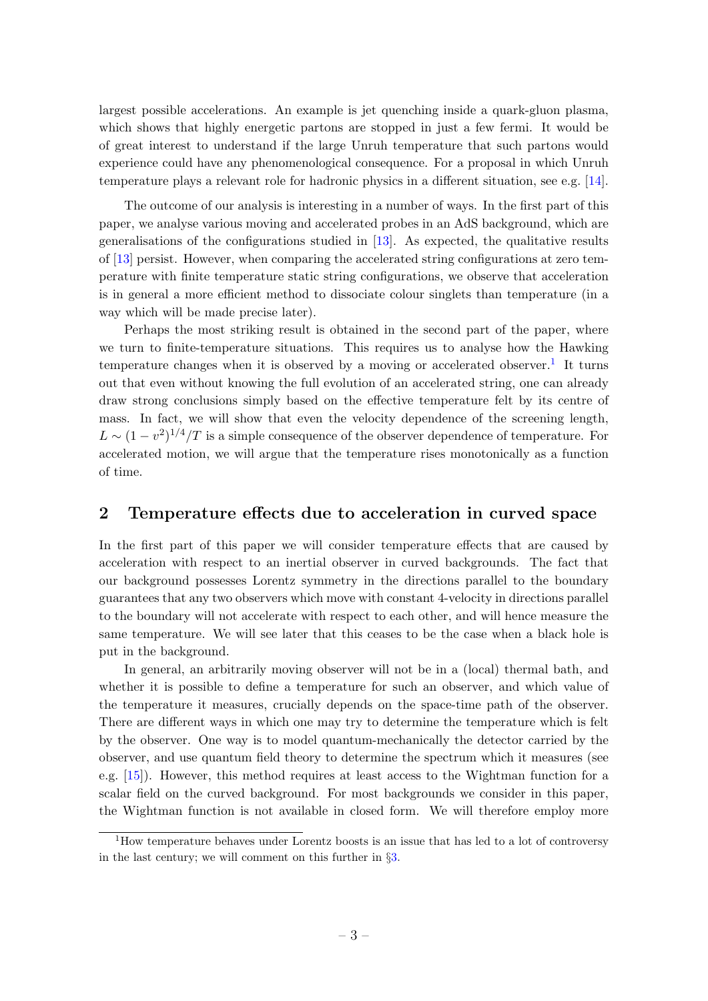largest possible accelerations. An example is jet quenching inside a quark-gluon plasma, which shows that highly energetic partons are stopped in just a few fermi. It would be of great interest to understand if the large Unruh temperature that such partons would experience could have any phenomenological consequence. For a proposal in which Unruh temperature plays a relevant role for hadronic physics in a different situation, see e.g. [\[14\]](#page-26-13).

The outcome of our analysis is interesting in a number of ways. In the first part of this paper, we analyse various moving and accelerated probes in an AdS background, which are generalisations of the configurations studied in [\[13\]](#page-26-12). As expected, the qualitative results of [\[13\]](#page-26-12) persist. However, when comparing the accelerated string configurations at zero temperature with finite temperature static string configurations, we observe that acceleration is in general a more efficient method to dissociate colour singlets than temperature (in a way which will be made precise later).

Perhaps the most striking result is obtained in the second part of the paper, where we turn to finite-temperature situations. This requires us to analyse how the Hawking temperature changes when it is observed by a moving or accelerated observer.<sup>[1](#page-4-1)</sup> It turns out that even without knowing the full evolution of an accelerated string, one can already draw strong conclusions simply based on the effective temperature felt by its centre of mass. In fact, we will show that even the velocity dependence of the screening length,  $L \sim (1 - v^2)^{1/4}/T$  is a simple consequence of the observer dependence of temperature. For accelerated motion, we will argue that the temperature rises monotonically as a function of time.

### <span id="page-4-0"></span>2 Temperature effects due to acceleration in curved space

In the first part of this paper we will consider temperature effects that are caused by acceleration with respect to an inertial observer in curved backgrounds. The fact that our background possesses Lorentz symmetry in the directions parallel to the boundary guarantees that any two observers which move with constant 4-velocity in directions parallel to the boundary will not accelerate with respect to each other, and will hence measure the same temperature. We will see later that this ceases to be the case when a black hole is put in the background.

In general, an arbitrarily moving observer will not be in a (local) thermal bath, and whether it is possible to define a temperature for such an observer, and which value of the temperature it measures, crucially depends on the space-time path of the observer. There are different ways in which one may try to determine the temperature which is felt by the observer. One way is to model quantum-mechanically the detector carried by the observer, and use quantum field theory to determine the spectrum which it measures (see e.g. [\[15\]](#page-26-14)). However, this method requires at least access to the Wightman function for a scalar field on the curved background. For most backgrounds we consider in this paper, the Wightman function is not available in closed form. We will therefore employ more

<span id="page-4-1"></span><sup>&</sup>lt;sup>1</sup>How temperature behaves under Lorentz boosts is an issue that has led to a lot of controversy in the last century; we will comment on this further in §[3.](#page-18-0)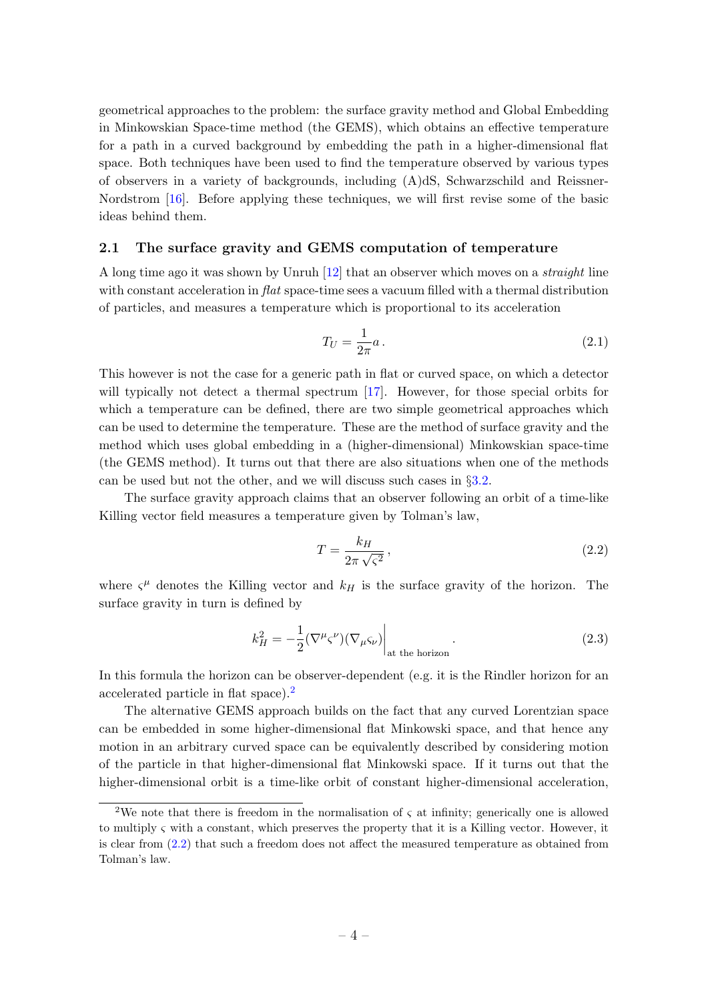geometrical approaches to the problem: the surface gravity method and Global Embedding in Minkowskian Space-time method (the GEMS), which obtains an effective temperature for a path in a curved background by embedding the path in a higher-dimensional flat space. Both techniques have been used to find the temperature observed by various types of observers in a variety of backgrounds, including (A)dS, Schwarzschild and Reissner-Nordstrom [\[16\]](#page-27-0). Before applying these techniques, we will first revise some of the basic ideas behind them.

#### <span id="page-5-0"></span>2.1 The surface gravity and GEMS computation of temperature

A long time ago it was shown by Unruh [\[12\]](#page-26-11) that an observer which moves on a straight line with constant acceleration in  $flat$  space-time sees a vacuum filled with a thermal distribution of particles, and measures a temperature which is proportional to its acceleration

<span id="page-5-3"></span>
$$
T_U = \frac{1}{2\pi}a\,. \tag{2.1}
$$

This however is not the case for a generic path in flat or curved space, on which a detector will typically not detect a thermal spectrum [\[17\]](#page-27-1). However, for those special orbits for which a temperature can be defined, there are two simple geometrical approaches which can be used to determine the temperature. These are the method of surface gravity and the method which uses global embedding in a (higher-dimensional) Minkowskian space-time (the GEMS method). It turns out that there are also situations when one of the methods can be used but not the other, and we will discuss such cases in §[3.2.](#page-20-0)

The surface gravity approach claims that an observer following an orbit of a time-like Killing vector field measures a temperature given by Tolman's law,

<span id="page-5-2"></span>
$$
T = \frac{k_H}{2\pi\sqrt{\varsigma^2}},\tag{2.2}
$$

where  $\zeta^{\mu}$  denotes the Killing vector and  $k_H$  is the surface gravity of the horizon. The surface gravity in turn is defined by

<span id="page-5-4"></span>
$$
k_H^2 = -\frac{1}{2} (\nabla^\mu \varsigma^\nu)(\nabla_\mu \varsigma_\nu) \Big|_{\text{at the horizon}}.
$$
 (2.3)

In this formula the horizon can be observer-dependent (e.g. it is the Rindler horizon for an accelerated particle in flat space).[2](#page-5-1)

The alternative GEMS approach builds on the fact that any curved Lorentzian space can be embedded in some higher-dimensional flat Minkowski space, and that hence any motion in an arbitrary curved space can be equivalently described by considering motion of the particle in that higher-dimensional flat Minkowski space. If it turns out that the higher-dimensional orbit is a time-like orbit of constant higher-dimensional acceleration,

<span id="page-5-1"></span><sup>&</sup>lt;sup>2</sup>We note that there is freedom in the normalisation of  $\varsigma$  at infinity; generically one is allowed to multiply ς with a constant, which preserves the property that it is a Killing vector. However, it is clear from [\(2.2\)](#page-5-2) that such a freedom does not affect the measured temperature as obtained from Tolman's law.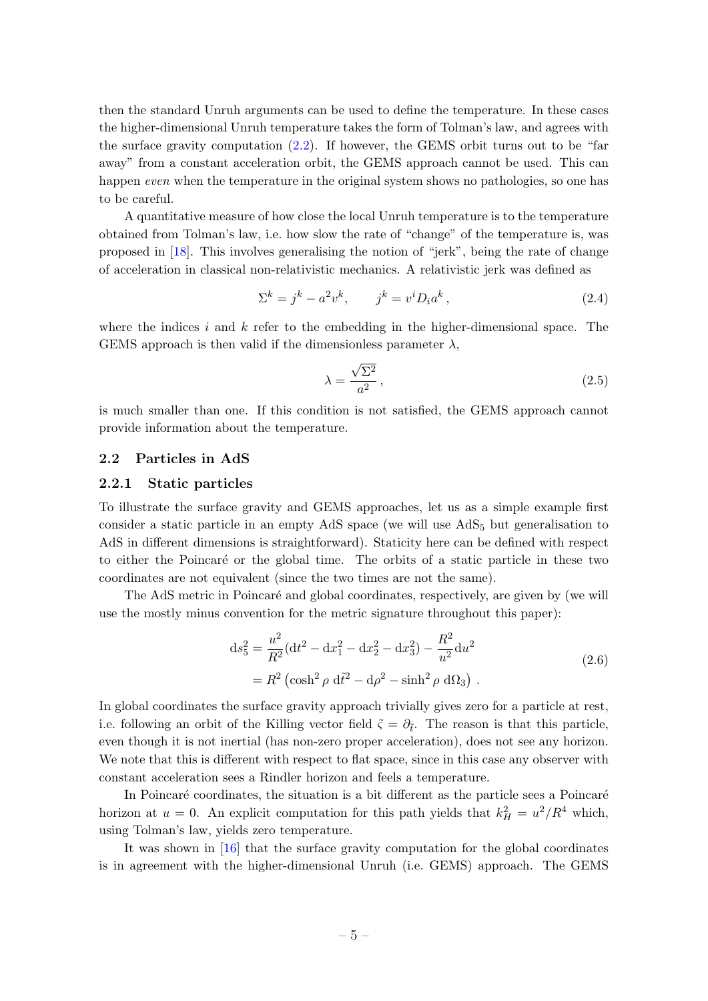then the standard Unruh arguments can be used to define the temperature. In these cases the higher-dimensional Unruh temperature takes the form of Tolman's law, and agrees with the surface gravity computation  $(2.2)$ . If however, the GEMS orbit turns out to be "far away" from a constant acceleration orbit, the GEMS approach cannot be used. This can happen *even* when the temperature in the original system shows no pathologies, so one has to be careful.

A quantitative measure of how close the local Unruh temperature is to the temperature obtained from Tolman's law, i.e. how slow the rate of "change" of the temperature is, was proposed in [\[18\]](#page-27-2). This involves generalising the notion of "jerk", being the rate of change of acceleration in classical non-relativistic mechanics. A relativistic jerk was defined as

$$
\Sigma^k = j^k - a^2 v^k, \qquad j^k = v^i D_i a^k, \tag{2.4}
$$

where the indices i and  $k$  refer to the embedding in the higher-dimensional space. The GEMS approach is then valid if the dimensionless parameter  $\lambda$ ,

<span id="page-6-3"></span>
$$
\lambda = \frac{\sqrt{\Sigma^2}}{a^2},\tag{2.5}
$$

is much smaller than one. If this condition is not satisfied, the GEMS approach cannot provide information about the temperature.

#### <span id="page-6-0"></span>2.2 Particles in AdS

#### <span id="page-6-1"></span>2.2.1 Static particles

To illustrate the surface gravity and GEMS approaches, let us as a simple example first consider a static particle in an empty AdS space (we will use  $AdS<sub>5</sub>$  but generalisation to AdS in different dimensions is straightforward). Staticity here can be defined with respect to either the Poincaré or the global time. The orbits of a static particle in these two coordinates are not equivalent (since the two times are not the same).

The AdS metric in Poincaré and global coordinates, respectively, are given by (we will use the mostly minus convention for the metric signature throughout this paper):

<span id="page-6-2"></span>
$$
ds_5^2 = \frac{u^2}{R^2} (dt^2 - dx_1^2 - dx_2^2 - dx_3^2) - \frac{R^2}{u^2} du^2
$$
  
=  $R^2 (\cosh^2 \rho d\tilde{t}^2 - d\rho^2 - \sinh^2 \rho d\Omega_3)$ . (2.6)

In global coordinates the surface gravity approach trivially gives zero for a particle at rest, i.e. following an orbit of the Killing vector field  $\tilde{\zeta} = \partial_{\tilde{t}}$ . The reason is that this particle, even though it is not inertial (has non-zero proper acceleration), does not see any horizon. We note that this is different with respect to flat space, since in this case any observer with constant acceleration sees a Rindler horizon and feels a temperature.

In Poincaré coordinates, the situation is a bit different as the particle sees a Poincaré horizon at  $u = 0$ . An explicit computation for this path yields that  $k_H^2 = u^2/R^4$  which, using Tolman's law, yields zero temperature.

It was shown in [\[16\]](#page-27-0) that the surface gravity computation for the global coordinates is in agreement with the higher-dimensional Unruh (i.e. GEMS) approach. The GEMS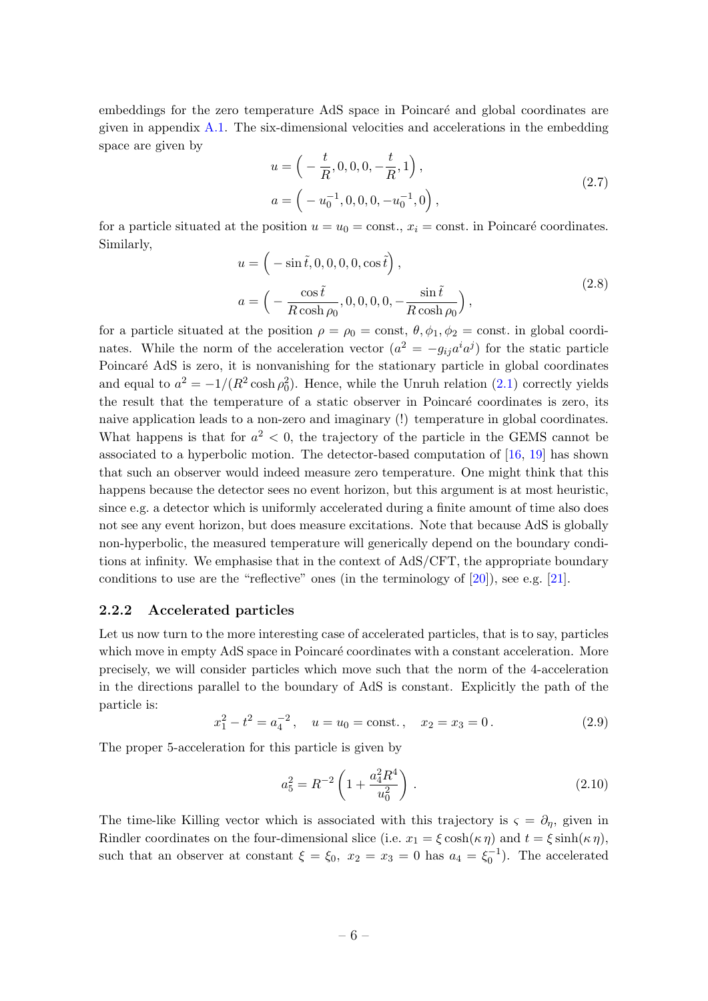embeddings for the zero temperature AdS space in Poincaré and global coordinates are given in appendix  $A.1$ . The six-dimensional velocities and accelerations in the embedding space are given by

$$
u = \left( -\frac{t}{R}, 0, 0, 0, -\frac{t}{R}, 1 \right),
$$
  
\n
$$
a = \left( -u_0^{-1}, 0, 0, 0, -u_0^{-1}, 0 \right),
$$
\n(2.7)

for a particle situated at the position  $u = u_0 = \text{const.}$ ,  $x_i = \text{const.}$  in Poincaré coordinates. Similarly,

$$
u = \left( -\sin \tilde{t}, 0, 0, 0, 0, \cos \tilde{t} \right),
$$
  

$$
a = \left( -\frac{\cos \tilde{t}}{R \cosh \rho_0}, 0, 0, 0, 0, -\frac{\sin \tilde{t}}{R \cosh \rho_0} \right),
$$
 (2.8)

for a particle situated at the position  $\rho = \rho_0 = \text{const}, \theta, \phi_1, \phi_2 = \text{const.}$  in global coordinates. While the norm of the acceleration vector  $(a^2 = -g_{ij}a^i a^j)$  for the static particle Poincaré AdS is zero, it is nonvanishing for the stationary particle in global coordinates and equal to  $a^2 = -1/(R^2 \cosh \rho_0^2)$ . Hence, while the Unruh relation [\(2.1\)](#page-5-3) correctly yields the result that the temperature of a static observer in Poincaré coordinates is zero, its naive application leads to a non-zero and imaginary (!) temperature in global coordinates. What happens is that for  $a^2 < 0$ , the trajectory of the particle in the GEMS cannot be associated to a hyperbolic motion. The detector-based computation of [\[16,](#page-27-0) [19\]](#page-27-3) has shown that such an observer would indeed measure zero temperature. One might think that this happens because the detector sees no event horizon, but this argument is at most heuristic, since e.g. a detector which is uniformly accelerated during a finite amount of time also does not see any event horizon, but does measure excitations. Note that because AdS is globally non-hyperbolic, the measured temperature will generically depend on the boundary conditions at infinity. We emphasise that in the context of AdS/CFT, the appropriate boundary conditions to use are the "reflective" ones (in the terminology of [\[20\]](#page-27-4)), see e.g. [\[21\]](#page-27-5).

#### <span id="page-7-0"></span>2.2.2 Accelerated particles

Let us now turn to the more interesting case of accelerated particles, that is to say, particles which move in empty AdS space in Poincaré coordinates with a constant acceleration. More precisely, we will consider particles which move such that the norm of the 4-acceleration in the directions parallel to the boundary of AdS is constant. Explicitly the path of the particle is:

$$
x_1^2 - t^2 = a_4^{-2}
$$
,  $u = u_0 = \text{const.}$ ,  $x_2 = x_3 = 0$ . (2.9)

The proper 5-acceleration for this particle is given by

$$
a_5^2 = R^{-2} \left( 1 + \frac{a_4^2 R^4}{u_0^2} \right) . \tag{2.10}
$$

The time-like Killing vector which is associated with this trajectory is  $\varsigma = \partial_{\eta}$ , given in Rindler coordinates on the four-dimensional slice (i.e.  $x_1 = \xi \cosh(\kappa \eta)$  and  $t = \xi \sinh(\kappa \eta)$ , such that an observer at constant  $\xi = \xi_0$ ,  $x_2 = x_3 = 0$  has  $a_4 = \xi_0^{-1}$ ). The accelerated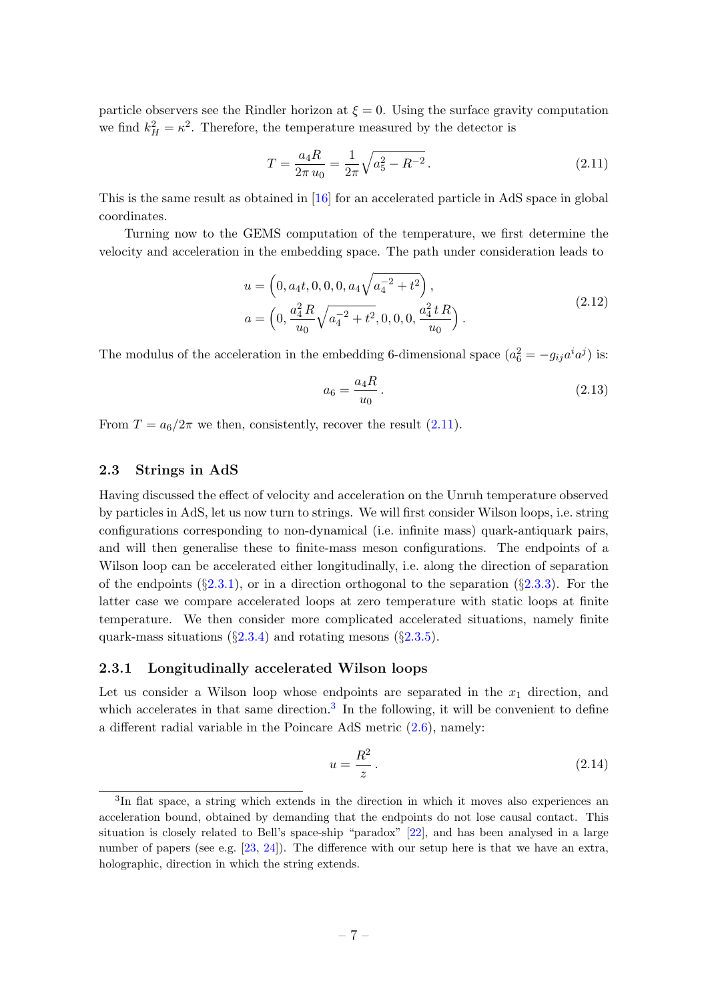particle observers see the Rindler horizon at  $\xi = 0$ . Using the surface gravity computation we find  $k_H^2 = \kappa^2$ . Therefore, the temperature measured by the detector is

<span id="page-8-2"></span>
$$
T = \frac{a_4 R}{2\pi u_0} = \frac{1}{2\pi} \sqrt{a_5^2 - R^{-2}}.
$$
\n(2.11)

This is the same result as obtained in [\[16\]](#page-27-0) for an accelerated particle in AdS space in global coordinates.

Turning now to the GEMS computation of the temperature, we first determine the velocity and acceleration in the embedding space. The path under consideration leads to

$$
u = \left(0, a_4t, 0, 0, 0, a_4\sqrt{a_4^{-2} + t^2}\right),
$$
  
\n
$$
a = \left(0, \frac{a_4^2 R}{u_0} \sqrt{a_4^{-2} + t^2}, 0, 0, 0, \frac{a_4^2 t R}{u_0}\right).
$$
\n(2.12)

The modulus of the acceleration in the embedding 6-dimensional space  $(a_6^2 = -g_{ij}a^i a^j)$  is:

$$
a_6 = \frac{a_4 R}{u_0} \,. \tag{2.13}
$$

From  $T = a_6/2\pi$  we then, consistently, recover the result [\(2.11\)](#page-8-2).

#### <span id="page-8-0"></span>2.3 Strings in AdS

Having discussed the effect of velocity and acceleration on the Unruh temperature observed by particles in AdS, let us now turn to strings. We will first consider Wilson loops, i.e. string configurations corresponding to non-dynamical (i.e. infinite mass) quark-antiquark pairs, and will then generalise these to finite-mass meson configurations. The endpoints of a Wilson loop can be accelerated either longitudinally, i.e. along the direction of separation of the endpoints  $(\S2.3.1)$  $(\S2.3.1)$ , or in a direction orthogonal to the separation  $(\S2.3.3)$  $(\S2.3.3)$ . For the latter case we compare accelerated loops at zero temperature with static loops at finite temperature. We then consider more complicated accelerated situations, namely finite quark-mass situations  $(\S2.3.4)$  $(\S2.3.4)$  and rotating mesons  $(\S2.3.5)$  $(\S2.3.5)$ .

#### <span id="page-8-1"></span>2.3.1 Longitudinally accelerated Wilson loops

Let us consider a Wilson loop whose endpoints are separated in the  $x_1$  direction, and which accelerates in that same direction.<sup>[3](#page-8-3)</sup> In the following, it will be convenient to define a different radial variable in the Poincare AdS metric [\(2.6\)](#page-6-2), namely:

$$
u = \frac{R^2}{z} \,. \tag{2.14}
$$

<span id="page-8-3"></span><sup>&</sup>lt;sup>3</sup>In flat space, a string which extends in the direction in which it moves also experiences an acceleration bound, obtained by demanding that the endpoints do not lose causal contact. This situation is closely related to Bell's space-ship "paradox" [\[22\]](#page-27-6), and has been analysed in a large number of papers (see e.g. [\[23,](#page-27-7) [24\]](#page-27-8)). The difference with our setup here is that we have an extra, holographic, direction in which the string extends.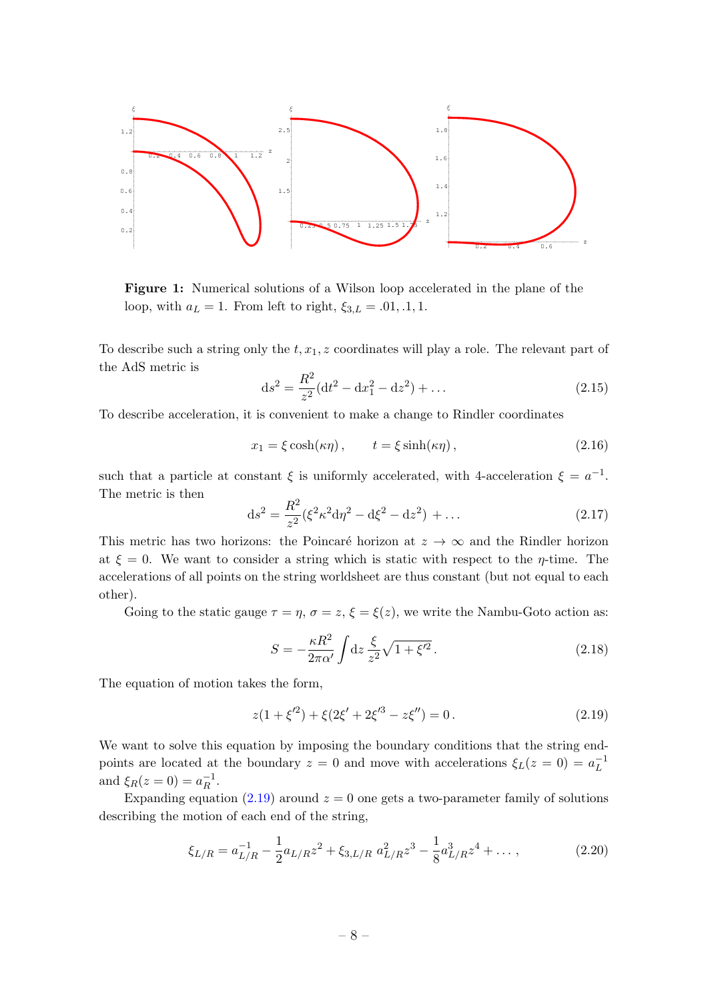<span id="page-9-2"></span>

Figure 1: Numerical solutions of a Wilson loop accelerated in the plane of the loop, with  $a_L = 1$ . From left to right,  $\xi_{3,L} = .01, .1, 1$ .

To describe such a string only the  $t, x_1, z$  coordinates will play a role. The relevant part of the AdS metric is

$$
ds^{2} = \frac{R^{2}}{z^{2}}(dt^{2} - dx_{1}^{2} - dz^{2}) + ...
$$
 (2.15)

To describe acceleration, it is convenient to make a change to Rindler coordinates

$$
x_1 = \xi \cosh(\kappa \eta), \qquad t = \xi \sinh(\kappa \eta), \tag{2.16}
$$

such that a particle at constant  $\xi$  is uniformly accelerated, with 4-acceleration  $\xi = a^{-1}$ . The metric is then

$$
ds^{2} = \frac{R^{2}}{z^{2}} (\xi^{2} \kappa^{2} d\eta^{2} - d\xi^{2} - dz^{2}) + ...
$$
 (2.17)

This metric has two horizons: the Poincaré horizon at  $z \to \infty$  and the Rindler horizon at  $\xi = 0$ . We want to consider a string which is static with respect to the *η*-time. The accelerations of all points on the string worldsheet are thus constant (but not equal to each other).

Going to the static gauge  $\tau = \eta$ ,  $\sigma = z$ ,  $\xi = \xi(z)$ , we write the Nambu-Goto action as:

<span id="page-9-3"></span>
$$
S = -\frac{\kappa R^2}{2\pi\alpha'} \int dz \frac{\xi}{z^2} \sqrt{1 + \xi'^2}.
$$
 (2.18)

The equation of motion takes the form,

<span id="page-9-0"></span>
$$
z(1 + \xi^2) + \xi(2\xi' + 2\xi'^3 - z\xi'') = 0.
$$
\n(2.19)

We want to solve this equation by imposing the boundary conditions that the string endpoints are located at the boundary  $z = 0$  and move with accelerations  $\xi_L(z = 0) = a_L^{-1}$ L and  $\xi_R(z=0) = a_R^{-1}$  $\overline{R}^1$ .

Expanding equation [\(2.19\)](#page-9-0) around  $z = 0$  one gets a two-parameter family of solutions describing the motion of each end of the string,

<span id="page-9-1"></span>
$$
\xi_{L/R} = a_{L/R}^{-1} - \frac{1}{2} a_{L/R} z^2 + \xi_{3,L/R} a_{L/R}^2 z^3 - \frac{1}{8} a_{L/R}^3 z^4 + \dots \,, \tag{2.20}
$$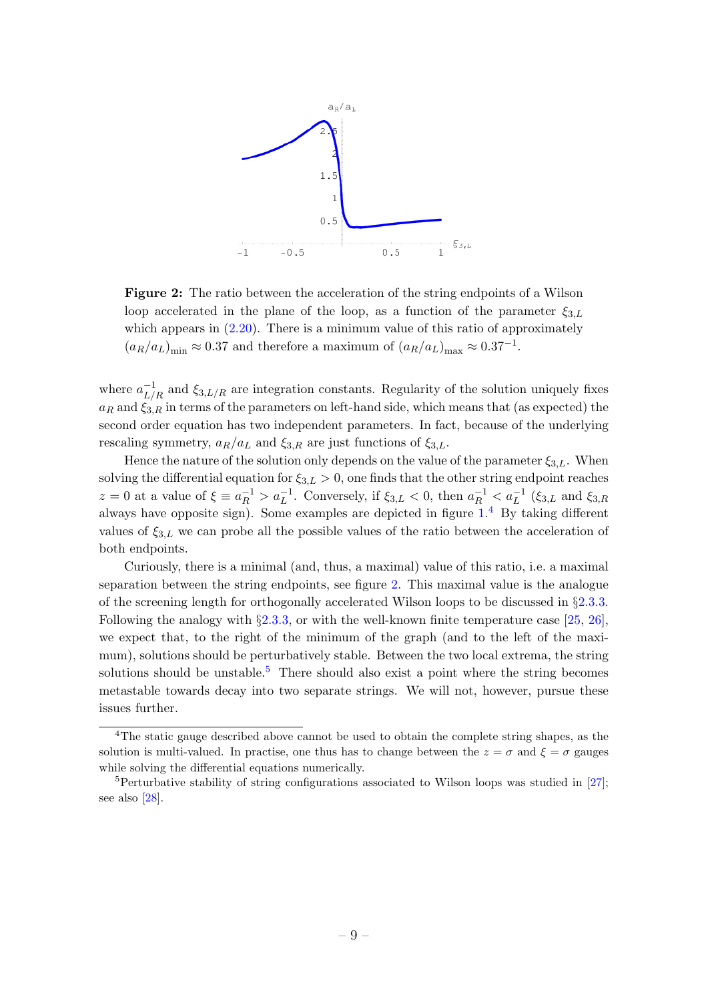<span id="page-10-1"></span>

Figure 2: The ratio between the acceleration of the string endpoints of a Wilson loop accelerated in the plane of the loop, as a function of the parameter  $\xi_{3,L}$ which appears in  $(2.20)$ . There is a minimum value of this ratio of approximately  $(a_R/a_L)_{\text{min}} \approx 0.37$  and therefore a maximum of  $(a_R/a_L)_{\text{max}} \approx 0.37^{-1}$ .

where  $a_{L/R}^{-1}$  and  $\xi_{3,L/R}$  are integration constants. Regularity of the solution uniquely fixes  $a_R$  and  $\xi_{3,R}$  in terms of the parameters on left-hand side, which means that (as expected) the second order equation has two independent parameters. In fact, because of the underlying rescaling symmetry,  $a_R/a_L$  and  $\xi_{3,R}$  are just functions of  $\xi_{3,L}$ .

Hence the nature of the solution only depends on the value of the parameter  $\xi_{3,L}$ . When solving the differential equation for  $\xi_{3,L} > 0$ , one finds that the other string endpoint reaches  $z = 0$  at a value of  $\xi \equiv a_R^{-1} > a_L^{-1}$ . Conversely, if  $\xi_{3,L} < 0$ , then  $a_R^{-1} < a_L^{-1}$  ( $\xi_{3,L}$  and  $\xi_{3,R}$ always have opposite sign). Some examples are depicted in figure [1.](#page-9-2) [4](#page-10-0) By taking different values of  $\xi_{3,L}$  we can probe all the possible values of the ratio between the acceleration of both endpoints.

Curiously, there is a minimal (and, thus, a maximal) value of this ratio, i.e. a maximal separation between the string endpoints, see figure [2.](#page-10-1) This maximal value is the analogue of the screening length for orthogonally accelerated Wilson loops to be discussed in §[2.3.3.](#page-11-1) Following the analogy with §[2.3.3,](#page-11-1) or with the well-known finite temperature case [\[25,](#page-27-9) [26\]](#page-27-10), we expect that, to the right of the minimum of the graph (and to the left of the maximum), solutions should be perturbatively stable. Between the two local extrema, the string solutions should be unstable.<sup>[5](#page-10-2)</sup> There should also exist a point where the string becomes metastable towards decay into two separate strings. We will not, however, pursue these issues further.

<span id="page-10-0"></span><sup>4</sup>The static gauge described above cannot be used to obtain the complete string shapes, as the solution is multi-valued. In practise, one thus has to change between the  $z = \sigma$  and  $\xi = \sigma$  gauges while solving the differential equations numerically.

<span id="page-10-2"></span> $5$ Perturbative stability of string configurations associated to Wilson loops was studied in [\[27\]](#page-27-11); see also [\[28\]](#page-27-12).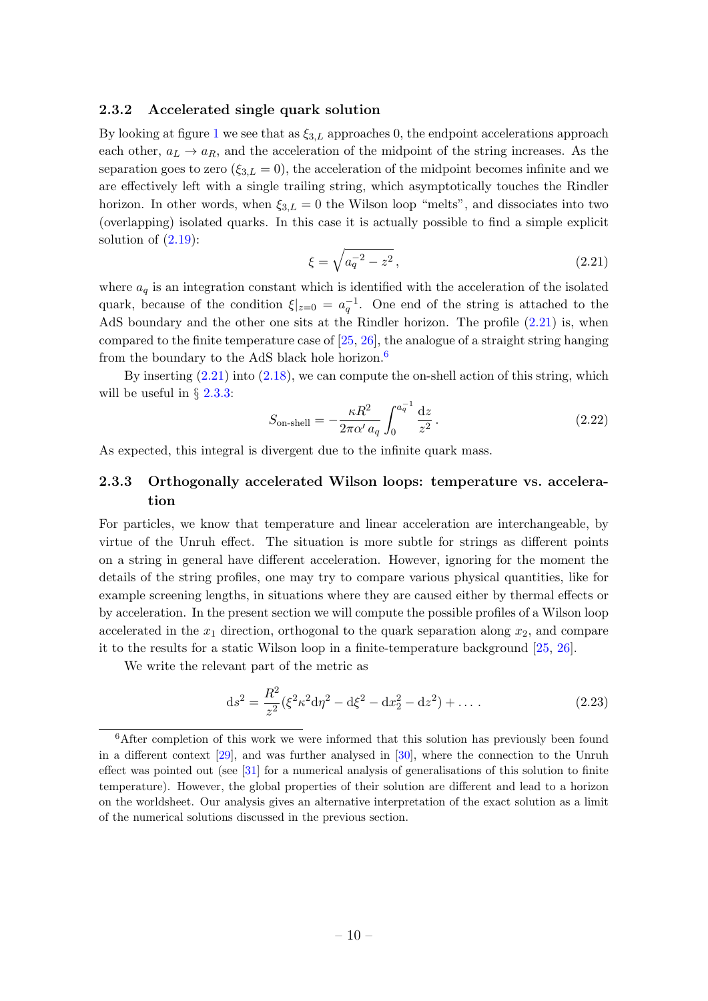#### <span id="page-11-0"></span>2.3.2 Accelerated single quark solution

By looking at figure [1](#page-9-2) we see that as  $\xi_{3,L}$  approaches 0, the endpoint accelerations approach each other,  $a_L \rightarrow a_R$ , and the acceleration of the midpoint of the string increases. As the separation goes to zero  $(\xi_{3,L} = 0)$ , the acceleration of the midpoint becomes infinite and we are effectively left with a single trailing string, which asymptotically touches the Rindler horizon. In other words, when  $\xi_{3,L} = 0$  the Wilson loop "melts", and dissociates into two (overlapping) isolated quarks. In this case it is actually possible to find a simple explicit solution of  $(2.19)$ :

<span id="page-11-2"></span>
$$
\xi = \sqrt{a_q^{-2} - z^2} \,,\tag{2.21}
$$

where  $a_q$  is an integration constant which is identified with the acceleration of the isolated quark, because of the condition  $\xi|_{z=0} = a_q^{-1}$ . One end of the string is attached to the AdS boundary and the other one sits at the Rindler horizon. The profile  $(2.21)$  is, when compared to the finite temperature case of [\[25,](#page-27-9) [26\]](#page-27-10), the analogue of a straight string hanging from the boundary to the AdS black hole horizon.[6](#page-11-3)

By inserting [\(2.21\)](#page-11-2) into [\(2.18\)](#page-9-3), we can compute the on-shell action of this string, which will be useful in  $\S$  [2.3.3:](#page-11-1)

<span id="page-11-4"></span>
$$
S_{\text{on-shell}} = -\frac{\kappa R^2}{2\pi\alpha' a_q} \int_0^{a_q^{-1}} \frac{\mathrm{d}z}{z^2} \,. \tag{2.22}
$$

As expected, this integral is divergent due to the infinite quark mass.

### <span id="page-11-1"></span>2.3.3 Orthogonally accelerated Wilson loops: temperature vs. acceleration

For particles, we know that temperature and linear acceleration are interchangeable, by virtue of the Unruh effect. The situation is more subtle for strings as different points on a string in general have different acceleration. However, ignoring for the moment the details of the string profiles, one may try to compare various physical quantities, like for example screening lengths, in situations where they are caused either by thermal effects or by acceleration. In the present section we will compute the possible profiles of a Wilson loop accelerated in the  $x_1$  direction, orthogonal to the quark separation along  $x_2$ , and compare it to the results for a static Wilson loop in a finite-temperature background [\[25,](#page-27-9) [26\]](#page-27-10).

We write the relevant part of the metric as

$$
ds^{2} = \frac{R^{2}}{z^{2}} (\xi^{2} \kappa^{2} d\eta^{2} - d\xi^{2} - d\eta^{2} - d\eta^{2}) + \dots
$$
 (2.23)

<span id="page-11-3"></span><sup>&</sup>lt;sup>6</sup>After completion of this work we were informed that this solution has previously been found in a different context [\[29\]](#page-27-13), and was further analysed in [\[30\]](#page-27-14), where the connection to the Unruh effect was pointed out (see [\[31\]](#page-27-15) for a numerical analysis of generalisations of this solution to finite temperature). However, the global properties of their solution are different and lead to a horizon on the worldsheet. Our analysis gives an alternative interpretation of the exact solution as a limit of the numerical solutions discussed in the previous section.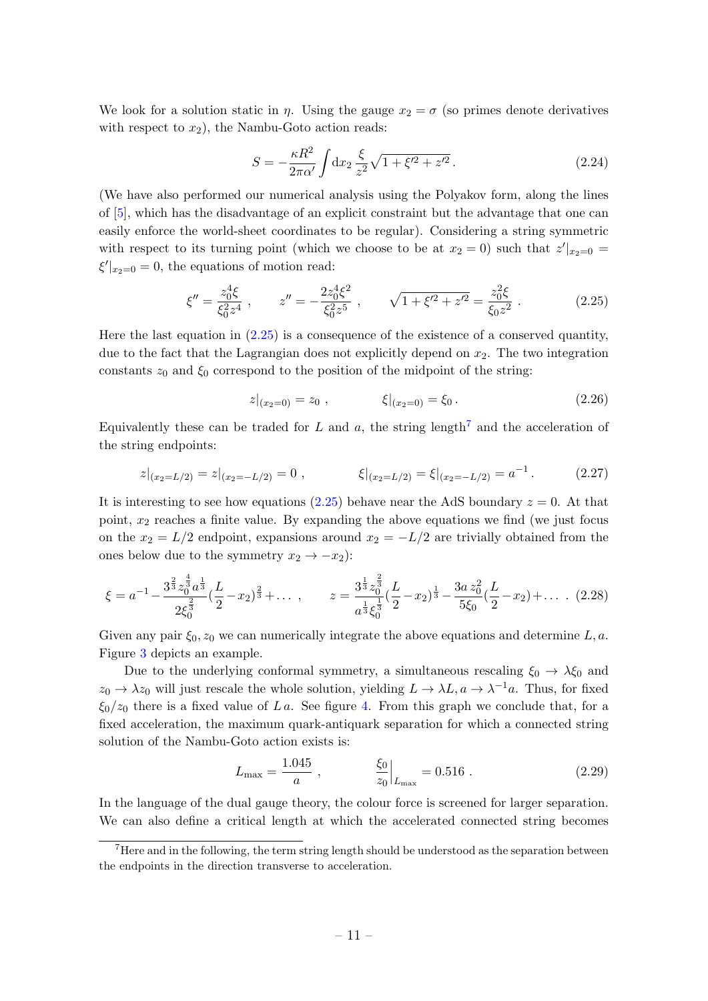We look for a solution static in  $\eta$ . Using the gauge  $x_2 = \sigma$  (so primes denote derivatives with respect to  $x_2$ ), the Nambu-Goto action reads:

$$
S = -\frac{\kappa R^2}{2\pi\alpha'} \int \mathrm{d}x_2 \, \frac{\xi}{z^2} \sqrt{1 + \xi'^2 + z'^2} \,. \tag{2.24}
$$

(We have also performed our numerical analysis using the Polyakov form, along the lines of [\[5\]](#page-26-4), which has the disadvantage of an explicit constraint but the advantage that one can easily enforce the world-sheet coordinates to be regular). Considering a string symmetric with respect to its turning point (which we choose to be at  $x_2 = 0$ ) such that  $z'|_{x_2=0}$  $\xi'|_{x_2=0}=0$ , the equations of motion read:

<span id="page-12-0"></span>
$$
\xi'' = \frac{z_0^4 \xi}{\xi_0^2 z^4} , \qquad z'' = -\frac{2z_0^4 \xi^2}{\xi_0^2 z^5} , \qquad \sqrt{1 + \xi'^2 + z'^2} = \frac{z_0^2 \xi}{\xi_0 z^2} . \tag{2.25}
$$

Here the last equation in  $(2.25)$  is a consequence of the existence of a conserved quantity, due to the fact that the Lagrangian does not explicitly depend on  $x_2$ . The two integration constants  $z_0$  and  $\xi_0$  correspond to the position of the midpoint of the string:

$$
z|_{(x_2=0)} = z_0 , \qquad \xi|_{(x_2=0)} = \xi_0 . \qquad (2.26)
$$

Equivalently these can be traded for L and a, the string length<sup>[7](#page-12-1)</sup> and the acceleration of the string endpoints:

$$
z|_{(x_2=L/2)} = z|_{(x_2=-L/2)} = 0 , \qquad \xi|_{(x_2=L/2)} = \xi|_{(x_2=-L/2)} = a^{-1} . \qquad (2.27)
$$

It is interesting to see how equations [\(2.25\)](#page-12-0) behave near the AdS boundary  $z = 0$ . At that point,  $x_2$  reaches a finite value. By expanding the above equations we find (we just focus on the  $x_2 = L/2$  endpoint, expansions around  $x_2 = -L/2$  are trivially obtained from the ones below due to the symmetry  $x_2 \rightarrow -x_2$ :

<span id="page-12-2"></span>
$$
\xi = a^{-1} - \frac{3^{\frac{2}{3}} z_0^{\frac{4}{3}} a^{\frac{1}{3}}}{2 \xi_0^{\frac{2}{3}}} (\frac{L}{2} - x_2)^{\frac{2}{3}} + \dots , \qquad z = \frac{3^{\frac{1}{3}} z_0^{\frac{2}{3}}}{a^{\frac{1}{3}} \xi_0^{\frac{1}{3}}} (\frac{L}{2} - x_2)^{\frac{1}{3}} - \frac{3a z_0^2}{5 \xi_0} (\frac{L}{2} - x_2) + \dots . \tag{2.28}
$$

Given any pair  $\xi_0$ ,  $z_0$  we can numerically integrate the above equations and determine L, a. Figure [3](#page-13-0) depicts an example.

Due to the underlying conformal symmetry, a simultaneous rescaling  $\xi_0 \rightarrow \lambda \xi_0$  and  $z_0 \to \lambda z_0$  will just rescale the whole solution, yielding  $L \to \lambda L$ ,  $a \to \lambda^{-1} a$ . Thus, for fixed  $\xi_0/z_0$  there is a fixed value of La. See figure [4.](#page-13-1) From this graph we conclude that, for a fixed acceleration, the maximum quark-antiquark separation for which a connected string solution of the Nambu-Goto action exists is:

$$
L_{\text{max}} = \frac{1.045}{a}, \qquad \frac{\xi_0}{z_0} \Big|_{L_{\text{max}}} = 0.516 \ . \tag{2.29}
$$

In the language of the dual gauge theory, the colour force is screened for larger separation. We can also define a critical length at which the accelerated connected string becomes

<span id="page-12-1"></span> $7$ Here and in the following, the term string length should be understood as the separation between the endpoints in the direction transverse to acceleration.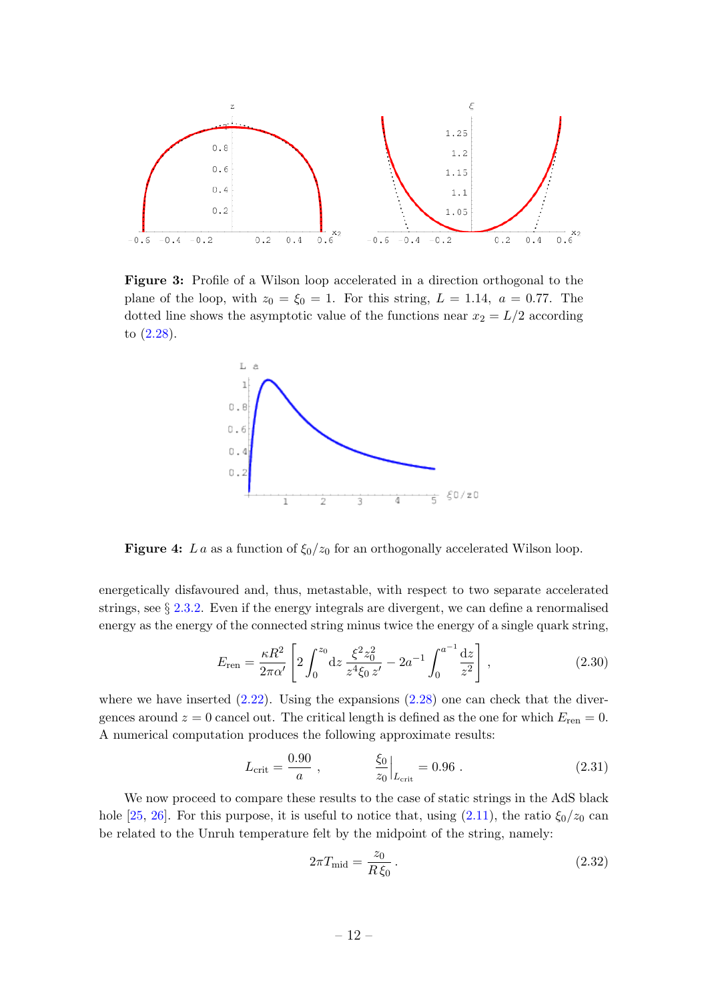<span id="page-13-0"></span>

<span id="page-13-1"></span>Figure 3: Profile of a Wilson loop accelerated in a direction orthogonal to the plane of the loop, with  $z_0 = \xi_0 = 1$ . For this string,  $L = 1.14$ ,  $a = 0.77$ . The dotted line shows the asymptotic value of the functions near  $x_2 = L/2$  according to [\(2.28\)](#page-12-2).



**Figure 4:** L a as a function of  $\xi_0/z_0$  for an orthogonally accelerated Wilson loop.

energetically disfavoured and, thus, metastable, with respect to two separate accelerated strings, see § [2.3.2.](#page-11-0) Even if the energy integrals are divergent, we can define a renormalised energy as the energy of the connected string minus twice the energy of a single quark string,

$$
E_{\rm ren} = \frac{\kappa R^2}{2\pi\alpha'} \left[ 2 \int_0^{z_0} dz \, \frac{\xi^2 z_0^2}{z^4 \xi_0 \, z'} - 2a^{-1} \int_0^{a^{-1}} \frac{\mathrm{d}z}{z^2} \right] \,,\tag{2.30}
$$

where we have inserted  $(2.22)$ . Using the expansions  $(2.28)$  one can check that the divergences around  $z = 0$  cancel out. The critical length is defined as the one for which  $E_{ren} = 0$ . A numerical computation produces the following approximate results:

$$
L_{\rm crit} = \frac{0.90}{a} , \qquad \frac{\xi_0}{z_0} \Big|_{L_{\rm crit}} = 0.96 . \qquad (2.31)
$$

We now proceed to compare these results to the case of static strings in the AdS black hole [\[25,](#page-27-9) [26\]](#page-27-10). For this purpose, it is useful to notice that, using [\(2.11\)](#page-8-2), the ratio  $\xi_0/z_0$  can be related to the Unruh temperature felt by the midpoint of the string, namely:

$$
2\pi T_{\rm mid} = \frac{z_0}{R\,\xi_0} \,. \tag{2.32}
$$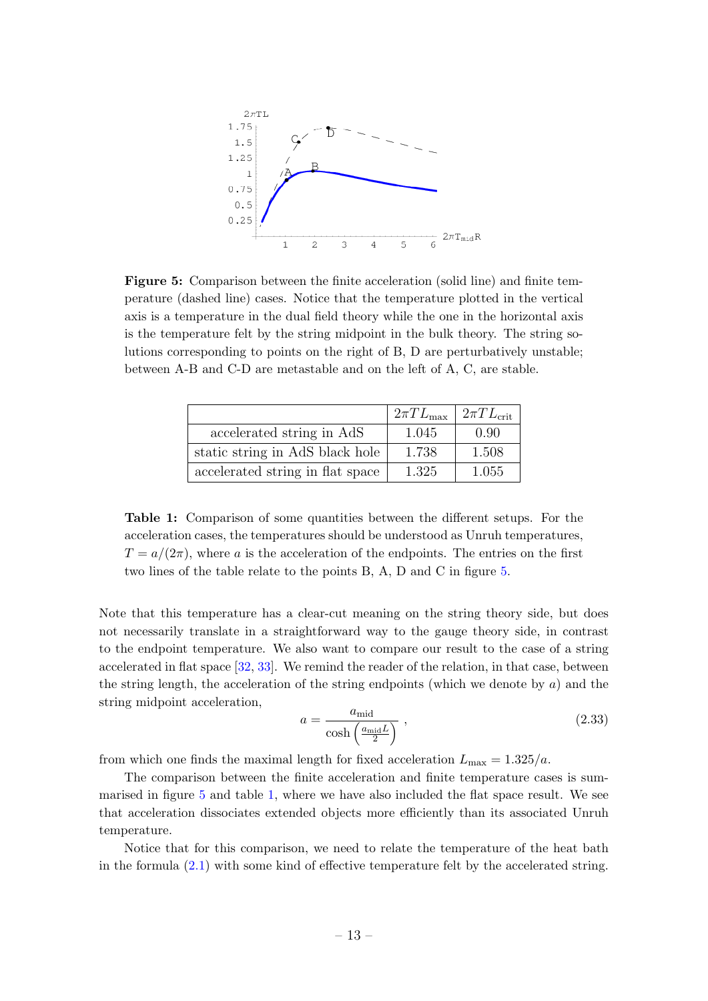<span id="page-14-0"></span>

Figure 5: Comparison between the finite acceleration (solid line) and finite temperature (dashed line) cases. Notice that the temperature plotted in the vertical axis is a temperature in the dual field theory while the one in the horizontal axis is the temperature felt by the string midpoint in the bulk theory. The string solutions corresponding to points on the right of B, D are perturbatively unstable; between A-B and C-D are metastable and on the left of A, C, are stable.

<span id="page-14-1"></span>

|                                  | $2\pi T L_{\rm max}$ | $2\pi T L_{\rm crit}$ |
|----------------------------------|----------------------|-----------------------|
| accelerated string in AdS        | 1.045                | 0.90                  |
| static string in AdS black hole  | 1.738                | 1.508                 |
| accelerated string in flat space | 1.325                | 1.055                 |

Table 1: Comparison of some quantities between the different setups. For the acceleration cases, the temperatures should be understood as Unruh temperatures,  $T = a/(2\pi)$ , where a is the acceleration of the endpoints. The entries on the first two lines of the table relate to the points B, A, D and C in figure [5.](#page-14-0)

Note that this temperature has a clear-cut meaning on the string theory side, but does not necessarily translate in a straightforward way to the gauge theory side, in contrast to the endpoint temperature. We also want to compare our result to the case of a string accelerated in flat space [\[32,](#page-28-0) [33\]](#page-28-1). We remind the reader of the relation, in that case, between the string length, the acceleration of the string endpoints (which we denote by  $a$ ) and the string midpoint acceleration,

<span id="page-14-2"></span>
$$
a = \frac{a_{\text{mid}}}{\cosh\left(\frac{a_{\text{mid}}L}{2}\right)}\,,\tag{2.33}
$$

from which one finds the maximal length for fixed acceleration  $L_{\text{max}} = 1.325/a$ .

The comparison between the finite acceleration and finite temperature cases is summarised in figure [5](#page-14-0) and table [1,](#page-14-1) where we have also included the flat space result. We see that acceleration dissociates extended objects more efficiently than its associated Unruh temperature.

Notice that for this comparison, we need to relate the temperature of the heat bath in the formula [\(2.1\)](#page-5-3) with some kind of effective temperature felt by the accelerated string.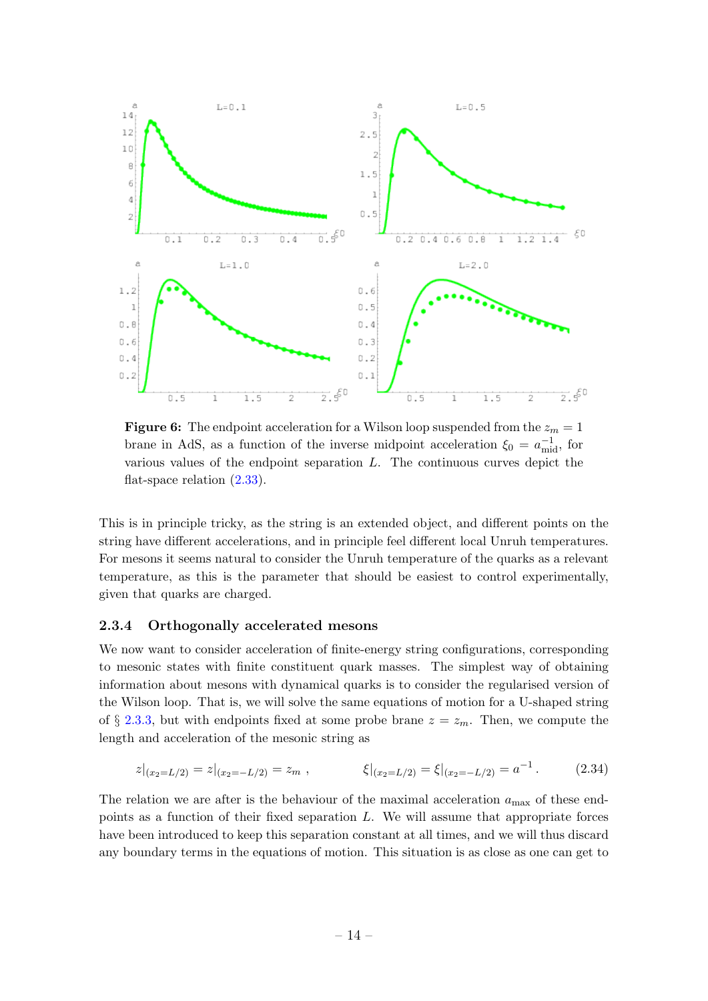<span id="page-15-1"></span>

**Figure 6:** The endpoint acceleration for a Wilson loop suspended from the  $z_m = 1$ brane in AdS, as a function of the inverse midpoint acceleration  $\xi_0 = a_{\text{mid}}^{-1}$ , for various values of the endpoint separation  $L$ . The continuous curves depict the flat-space relation [\(2.33\)](#page-14-2).

This is in principle tricky, as the string is an extended object, and different points on the string have different accelerations, and in principle feel different local Unruh temperatures. For mesons it seems natural to consider the Unruh temperature of the quarks as a relevant temperature, as this is the parameter that should be easiest to control experimentally, given that quarks are charged.

#### <span id="page-15-0"></span>2.3.4 Orthogonally accelerated mesons

We now want to consider acceleration of finite-energy string configurations, corresponding to mesonic states with finite constituent quark masses. The simplest way of obtaining information about mesons with dynamical quarks is to consider the regularised version of the Wilson loop. That is, we will solve the same equations of motion for a U-shaped string of § [2.3.3,](#page-11-1) but with endpoints fixed at some probe brane  $z = z_m$ . Then, we compute the length and acceleration of the mesonic string as

$$
z|_{(x_2=L/2)} = z|_{(x_2=-L/2)} = z_m , \qquad \xi|_{(x_2=L/2)} = \xi|_{(x_2=-L/2)} = a^{-1} . \qquad (2.34)
$$

The relation we are after is the behaviour of the maximal acceleration  $a_{\text{max}}$  of these endpoints as a function of their fixed separation L. We will assume that appropriate forces have been introduced to keep this separation constant at all times, and we will thus discard any boundary terms in the equations of motion. This situation is as close as one can get to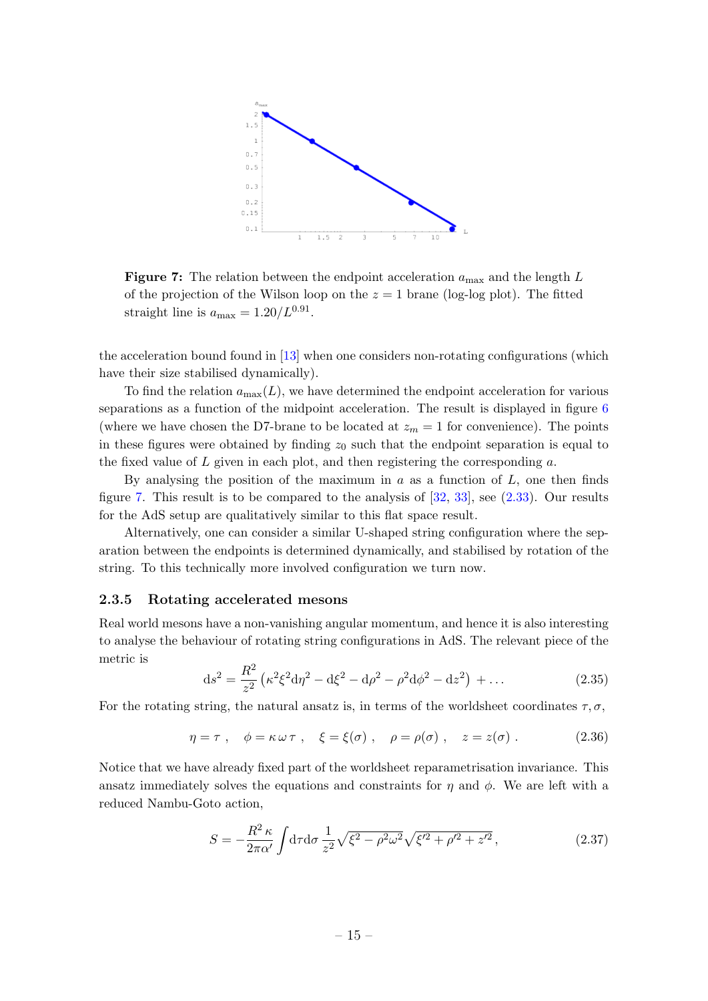<span id="page-16-1"></span>

**Figure 7:** The relation between the endpoint acceleration  $a_{\text{max}}$  and the length L of the projection of the Wilson loop on the  $z = 1$  brane (log-log plot). The fitted straight line is  $a_{\text{max}} = 1.20/L^{0.91}$ .

the acceleration bound found in  $[13]$  when one considers non-rotating configurations (which have their size stabilised dynamically).

To find the relation  $a_{\text{max}}(L)$ , we have determined the endpoint acceleration for various separations as a function of the midpoint acceleration. The result is displayed in figure [6](#page-15-1) (where we have chosen the D7-brane to be located at  $z_m = 1$  for convenience). The points in these figures were obtained by finding  $z_0$  such that the endpoint separation is equal to the fixed value of  $L$  given in each plot, and then registering the corresponding  $a$ .

By analysing the position of the maximum in  $a$  as a function of  $L$ , one then finds figure [7.](#page-16-1) This result is to be compared to the analysis of  $[32, 33]$  $[32, 33]$  $[32, 33]$ , see  $(2.33)$ . Our results for the AdS setup are qualitatively similar to this flat space result.

Alternatively, one can consider a similar U-shaped string configuration where the separation between the endpoints is determined dynamically, and stabilised by rotation of the string. To this technically more involved configuration we turn now.

#### <span id="page-16-0"></span>2.3.5 Rotating accelerated mesons

Real world mesons have a non-vanishing angular momentum, and hence it is also interesting to analyse the behaviour of rotating string configurations in AdS. The relevant piece of the metric is

$$
ds^{2} = \frac{R^{2}}{z^{2}} \left( \kappa^{2} \xi^{2} d\eta^{2} - d\xi^{2} - d\rho^{2} - \rho^{2} d\phi^{2} - dz^{2} \right) + \dots
$$
 (2.35)

For the rotating string, the natural ansatz is, in terms of the worldsheet coordinates  $\tau, \sigma$ ,

$$
\eta = \tau \; , \quad \phi = \kappa \, \omega \, \tau \; , \quad \xi = \xi(\sigma) \; , \quad \rho = \rho(\sigma) \; , \quad z = z(\sigma) \; . \tag{2.36}
$$

Notice that we have already fixed part of the worldsheet reparametrisation invariance. This ansatz immediately solves the equations and constraints for  $\eta$  and  $\phi$ . We are left with a reduced Nambu-Goto action,

<span id="page-16-2"></span>
$$
S = -\frac{R^2 \kappa}{2\pi\alpha'} \int d\tau d\sigma \frac{1}{z^2} \sqrt{\xi^2 - \rho^2 \omega^2} \sqrt{\xi'^2 + \rho'^2 + z'^2},
$$
 (2.37)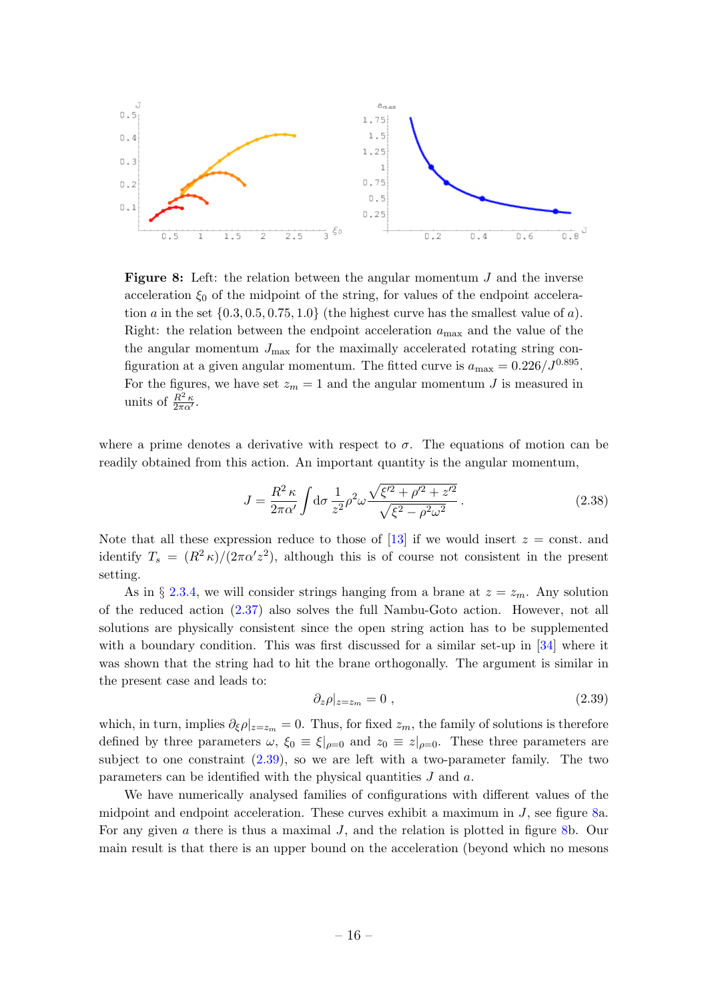<span id="page-17-1"></span>

**Figure 8:** Left: the relation between the angular momentum  $J$  and the inverse acceleration  $\xi_0$  of the midpoint of the string, for values of the endpoint acceleration a in the set  $\{0.3, 0.5, 0.75, 1.0\}$  (the highest curve has the smallest value of a). Right: the relation between the endpoint acceleration  $a_{\text{max}}$  and the value of the the angular momentum  $J_{\text{max}}$  for the maximally accelerated rotating string configuration at a given angular momentum. The fitted curve is  $a_{\text{max}} = 0.226/J^{0.895}$ . For the figures, we have set  $z_m = 1$  and the angular momentum J is measured in units of  $\frac{R^2 \kappa}{2\pi \alpha'}$ .

where a prime denotes a derivative with respect to  $\sigma$ . The equations of motion can be readily obtained from this action. An important quantity is the angular momentum,

$$
J = \frac{R^2 \kappa}{2\pi\alpha'} \int d\sigma \frac{1}{z^2} \rho^2 \omega \frac{\sqrt{\xi'^2 + \rho'^2 + z'^2}}{\sqrt{\xi^2 - \rho^2 \omega^2}}.
$$
 (2.38)

Note that all these expression reduce to those of  $[13]$  if we would insert  $z = \text{const.}$  and identify  $T_s = (R^2 \kappa)/(2\pi \alpha' z^2)$ , although this is of course not consistent in the present setting.

As in § [2.3.4,](#page-15-0) we will consider strings hanging from a brane at  $z = z_m$ . Any solution of the reduced action [\(2.37\)](#page-16-2) also solves the full Nambu-Goto action. However, not all solutions are physically consistent since the open string action has to be supplemented with a boundary condition. This was first discussed for a similar set-up in [\[34\]](#page-28-2) where it was shown that the string had to hit the brane orthogonally. The argument is similar in the present case and leads to:

<span id="page-17-0"></span>
$$
\partial_z \rho|_{z=z_m} = 0 \tag{2.39}
$$

which, in turn, implies  $\partial_{\xi} \rho|_{z=z_m} = 0$ . Thus, for fixed  $z_m$ , the family of solutions is therefore defined by three parameters  $\omega$ ,  $\xi_0 \equiv \xi|_{\rho=0}$  and  $z_0 \equiv z|_{\rho=0}$ . These three parameters are subject to one constraint  $(2.39)$ , so we are left with a two-parameter family. The two parameters can be identified with the physical quantities J and a.

We have numerically analysed families of configurations with different values of the midpoint and endpoint acceleration. These curves exhibit a maximum in  $J$ , see figure [8a](#page-17-1). For any given a there is thus a maximal J, and the relation is plotted in figure [8b](#page-17-1). Our main result is that there is an upper bound on the acceleration (beyond which no mesons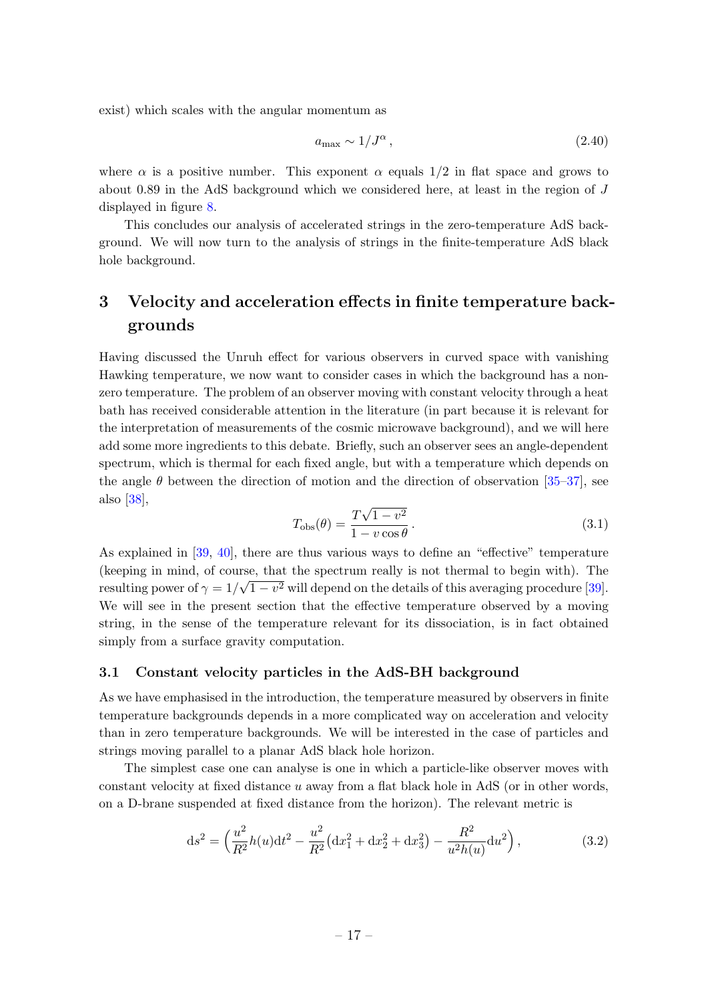exist) which scales with the angular momentum as

$$
a_{\text{max}} \sim 1/J^{\alpha},\tag{2.40}
$$

where  $\alpha$  is a positive number. This exponent  $\alpha$  equals 1/2 in flat space and grows to about 0.89 in the AdS background which we considered here, at least in the region of J displayed in figure [8.](#page-17-1)

This concludes our analysis of accelerated strings in the zero-temperature AdS background. We will now turn to the analysis of strings in the finite-temperature AdS black hole background.

# <span id="page-18-0"></span>3 Velocity and acceleration effects in finite temperature backgrounds

Having discussed the Unruh effect for various observers in curved space with vanishing Hawking temperature, we now want to consider cases in which the background has a nonzero temperature. The problem of an observer moving with constant velocity through a heat bath has received considerable attention in the literature (in part because it is relevant for the interpretation of measurements of the cosmic microwave background), and we will here add some more ingredients to this debate. Briefly, such an observer sees an angle-dependent spectrum, which is thermal for each fixed angle, but with a temperature which depends on the angle  $\theta$  between the direction of motion and the direction of observation [\[35–](#page-28-3)[37\]](#page-28-4), see also [\[38\]](#page-28-5), √

$$
T_{\rm obs}(\theta) = \frac{T\sqrt{1 - v^2}}{1 - v\cos\theta}.
$$
\n(3.1)

As explained in [\[39,](#page-28-6) [40\]](#page-28-7), there are thus various ways to define an "effective" temperature (keeping in mind, of course, that the spectrum really is not thermal to begin with). The resulting power of  $\gamma = 1/\sqrt{1 - v^2}$  will depend on the details of this averaging procedure [\[39\]](#page-28-6). We will see in the present section that the effective temperature observed by a moving string, in the sense of the temperature relevant for its dissociation, is in fact obtained simply from a surface gravity computation.

#### <span id="page-18-1"></span>3.1 Constant velocity particles in the AdS-BH background

As we have emphasised in the introduction, the temperature measured by observers in finite temperature backgrounds depends in a more complicated way on acceleration and velocity than in zero temperature backgrounds. We will be interested in the case of particles and strings moving parallel to a planar AdS black hole horizon.

The simplest case one can analyse is one in which a particle-like observer moves with constant velocity at fixed distance  $u$  away from a flat black hole in AdS (or in other words, on a D-brane suspended at fixed distance from the horizon). The relevant metric is

<span id="page-18-2"></span>
$$
ds^{2} = \left(\frac{u^{2}}{R^{2}}h(u)dt^{2} - \frac{u^{2}}{R^{2}}(dx_{1}^{2} + dx_{2}^{2} + dx_{3}^{2}) - \frac{R^{2}}{u^{2}h(u)}du^{2}\right),
$$
\n(3.2)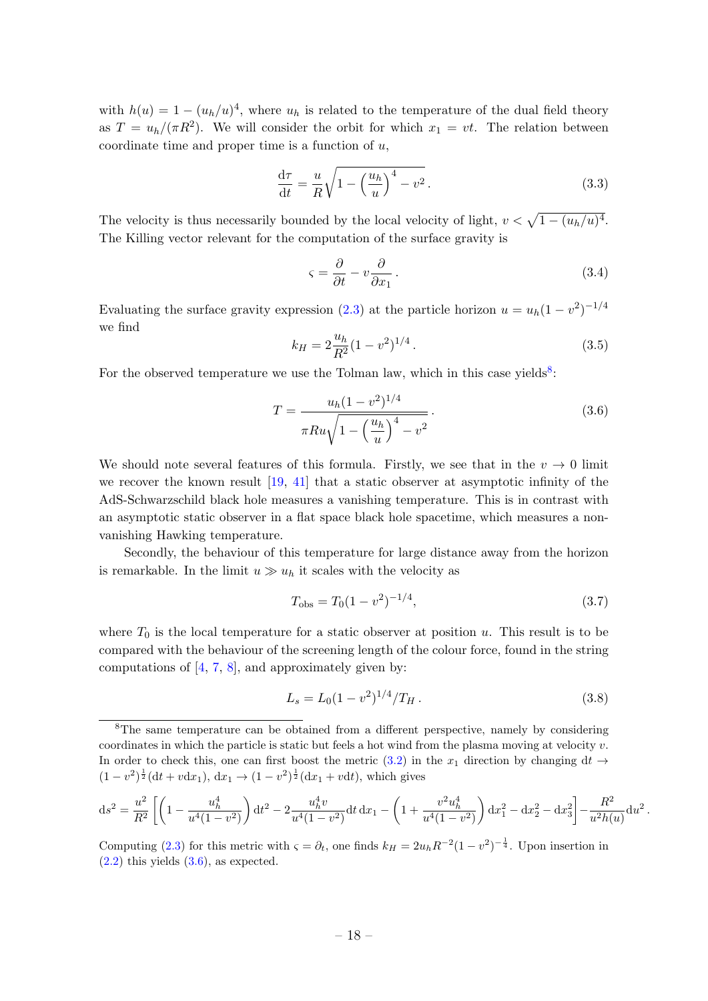with  $h(u) = 1 - (u_h/u)^4$ , where  $u_h$  is related to the temperature of the dual field theory as  $T = u_h/(\pi R^2)$ . We will consider the orbit for which  $x_1 = vt$ . The relation between coordinate time and proper time is a function of  $u$ ,

$$
\frac{\mathrm{d}\tau}{\mathrm{d}t} = \frac{u}{R} \sqrt{1 - \left(\frac{u_h}{u}\right)^4 - v^2} \,. \tag{3.3}
$$

The velocity is thus necessarily bounded by the local velocity of light,  $v < \sqrt{1 - (u_h/u)^4}$ . The Killing vector relevant for the computation of the surface gravity is

$$
\varsigma = \frac{\partial}{\partial t} - v \frac{\partial}{\partial x_1} \,. \tag{3.4}
$$

Evaluating the surface gravity expression [\(2.3\)](#page-5-4) at the particle horizon  $u = u_h(1 - v^2)^{-1/4}$ we find

$$
k_H = 2\frac{u_h}{R^2}(1 - v^2)^{1/4}.
$$
\n(3.5)

For the observed temperature we use the Tolman law, which in this case yields<sup>[8](#page-19-0)</sup>:

<span id="page-19-1"></span>
$$
T = \frac{u_h (1 - v^2)^{1/4}}{\pi R u \sqrt{1 - \left(\frac{u_h}{u}\right)^4 - v^2}}.
$$
\n(3.6)

We should note several features of this formula. Firstly, we see that in the  $v \to 0$  limit we recover the known result [\[19,](#page-27-3) [41\]](#page-28-8) that a static observer at asymptotic infinity of the AdS-Schwarzschild black hole measures a vanishing temperature. This is in contrast with an asymptotic static observer in a flat space black hole spacetime, which measures a nonvanishing Hawking temperature.

Secondly, the behaviour of this temperature for large distance away from the horizon is remarkable. In the limit  $u \gg u_h$  it scales with the velocity as

<span id="page-19-2"></span>
$$
T_{\rm obs} = T_0 (1 - v^2)^{-1/4},\tag{3.7}
$$

where  $T_0$  is the local temperature for a static observer at position u. This result is to be compared with the behaviour of the screening length of the colour force, found in the string computations of  $[4, 7, 8]$  $[4, 7, 8]$  $[4, 7, 8]$  $[4, 7, 8]$  $[4, 7, 8]$ , and approximately given by:

<span id="page-19-3"></span>
$$
L_s = L_0 (1 - v^2)^{1/4} / T_H. \tag{3.8}
$$

$$
ds^{2} = \frac{u^{2}}{R^{2}} \left[ \left( 1 - \frac{u_{h}^{4}}{u^{4}(1 - v^{2})} \right) dt^{2} - 2 \frac{u_{h}^{4} v}{u^{4}(1 - v^{2})} dt \, dx_{1} - \left( 1 + \frac{v^{2} u_{h}^{4}}{u^{4}(1 - v^{2})} \right) dx_{1}^{2} - dx_{2}^{2} - dx_{3}^{2} \right] - \frac{R^{2}}{u^{2} h(u)} du^{2}.
$$

Computing [\(2.3\)](#page-5-4) for this metric with  $\varsigma = \partial_t$ , one finds  $k_H = 2u_h R^{-2} (1 - v^2)^{-\frac{1}{4}}$ . Upon insertion in  $(2.2)$  this yields  $(3.6)$ , as expected.

<span id="page-19-0"></span><sup>8</sup>The same temperature can be obtained from a different perspective, namely by considering coordinates in which the particle is static but feels a hot wind from the plasma moving at velocity  $v$ . In order to check this, one can first boost the metric [\(3.2\)](#page-18-2) in the  $x_1$  direction by changing dt  $\rightarrow$  $(1 - v^2)^{\frac{1}{2}} (dt + v dx_1), dx_1 \to (1 - v^2)^{\frac{1}{2}} (dx_1 + v dt),$  which gives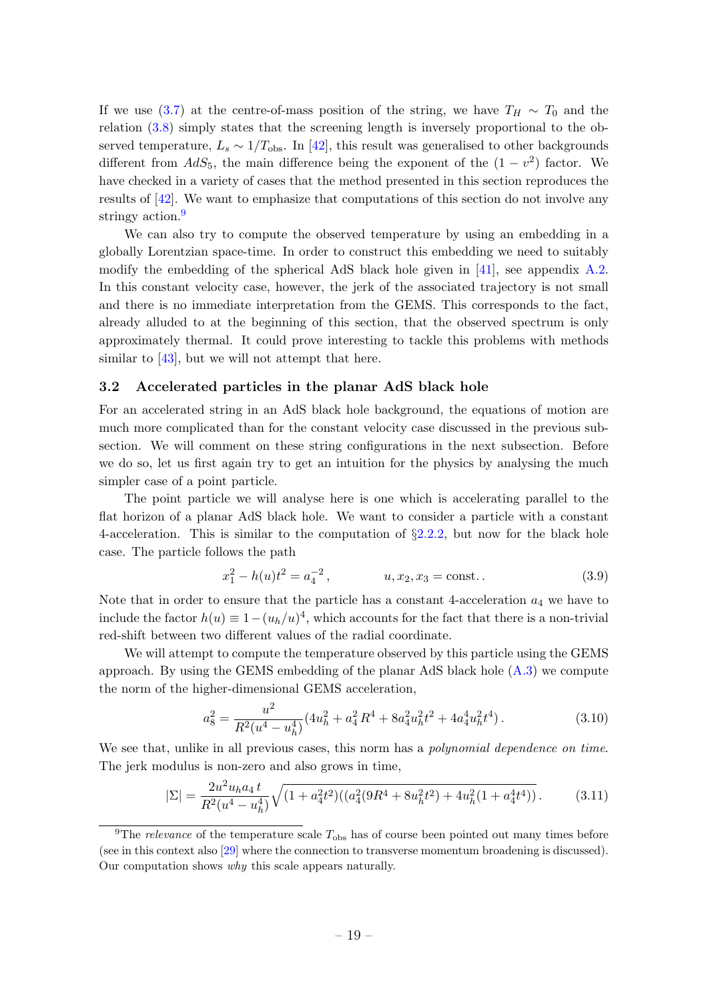If we use [\(3.7\)](#page-19-2) at the centre-of-mass position of the string, we have  $T_H \sim T_0$  and the relation [\(3.8\)](#page-19-3) simply states that the screening length is inversely proportional to the observed temperature,  $L_s \sim 1/T_{\text{obs}}$ . In [\[42\]](#page-28-9), this result was generalised to other backgrounds different from  $AdS_5$ , the main difference being the exponent of the  $(1 - v^2)$  factor. We have checked in a variety of cases that the method presented in this section reproduces the results of [\[42\]](#page-28-9). We want to emphasize that computations of this section do not involve any stringy action.<sup>[9](#page-20-1)</sup>

We can also try to compute the observed temperature by using an embedding in a globally Lorentzian space-time. In order to construct this embedding we need to suitably modify the embedding of the spherical AdS black hole given in [\[41\]](#page-28-8), see appendix [A.2.](#page-25-2) In this constant velocity case, however, the jerk of the associated trajectory is not small and there is no immediate interpretation from the GEMS. This corresponds to the fact, already alluded to at the beginning of this section, that the observed spectrum is only approximately thermal. It could prove interesting to tackle this problems with methods similar to [\[43\]](#page-28-10), but we will not attempt that here.

#### <span id="page-20-0"></span>3.2 Accelerated particles in the planar AdS black hole

For an accelerated string in an AdS black hole background, the equations of motion are much more complicated than for the constant velocity case discussed in the previous subsection. We will comment on these string configurations in the next subsection. Before we do so, let us first again try to get an intuition for the physics by analysing the much simpler case of a point particle.

The point particle we will analyse here is one which is accelerating parallel to the flat horizon of a planar AdS black hole. We want to consider a particle with a constant 4-acceleration. This is similar to the computation of  $\S2.2.2$ , but now for the black hole case. The particle follows the path

$$
x_1^2 - h(u)t^2 = a_4^{-2}, \t u, x_2, x_3 = \text{const.} \t (3.9)
$$

Note that in order to ensure that the particle has a constant 4-acceleration  $a_4$  we have to include the factor  $h(u) \equiv 1 - (u_h/u)^4$ , which accounts for the fact that there is a non-trivial red-shift between two different values of the radial coordinate.

We will attempt to compute the temperature observed by this particle using the GEMS approach. By using the GEMS embedding of the planar AdS black hole [\(A.3\)](#page-25-3) we compute the norm of the higher-dimensional GEMS acceleration,

<span id="page-20-2"></span>
$$
a_8^2 = \frac{u^2}{R^2(u^4 - u_h^4)} (4u_h^2 + a_4^2 R^4 + 8a_4^2 u_h^2 t^2 + 4a_4^4 u_h^2 t^4).
$$
 (3.10)

We see that, unlike in all previous cases, this norm has a *polynomial dependence on time*. The jerk modulus is non-zero and also grows in time,

$$
|\Sigma| = \frac{2u^2u_h a_4 t}{R^2(u^4 - u_h^4)} \sqrt{(1 + a_4^2 t^2)((a_4^2(9R^4 + 8u_h^2 t^2) + 4u_h^2(1 + a_4^4 t^4))}.
$$
 (3.11)

<span id="page-20-1"></span><sup>&</sup>lt;sup>9</sup>The *relevance* of the temperature scale  $T_{obs}$  has of course been pointed out many times before (see in this context also [\[29\]](#page-27-13) where the connection to transverse momentum broadening is discussed). Our computation shows why this scale appears naturally.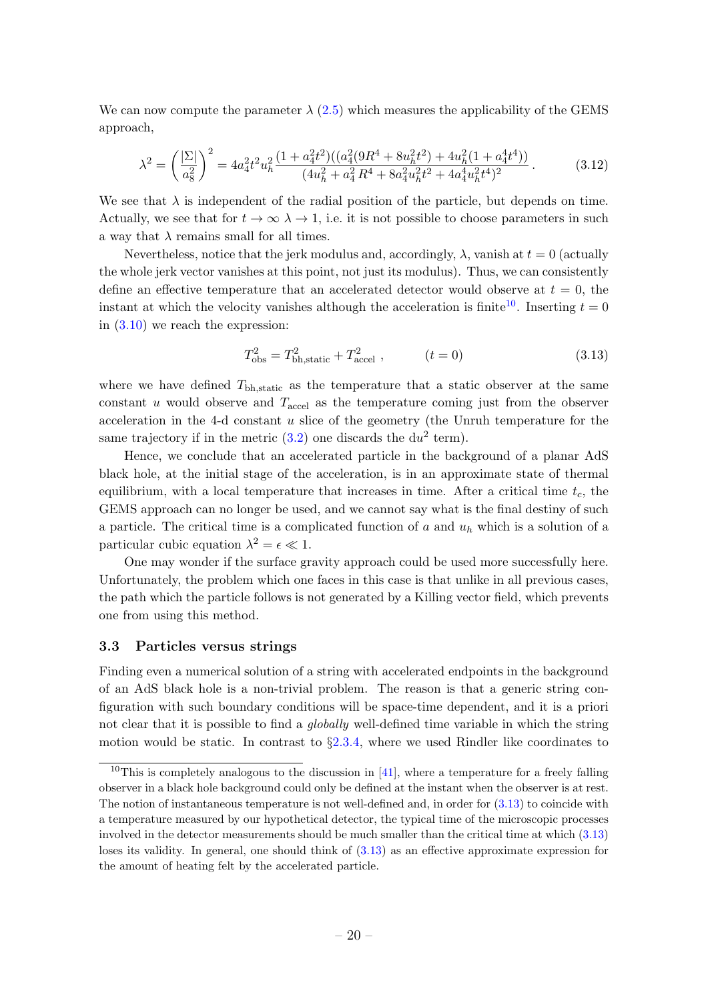We can now compute the parameter  $\lambda$  [\(2.5\)](#page-6-3) which measures the applicability of the GEMS approach,

$$
\lambda^2 = \left(\frac{|\Sigma|}{a_8^2}\right)^2 = 4a_4^2t^2u_h^2\frac{(1+a_4^2t^2)((a_4^2(9R^4+8u_h^2t^2)+4u_h^2(1+a_4^4t^4))}{(4u_h^2+a_4^2R^4+8a_4^2u_h^2t^2+4a_4^4u_h^2t^4)^2}.
$$
(3.12)

We see that  $\lambda$  is independent of the radial position of the particle, but depends on time. Actually, we see that for  $t \to \infty$   $\lambda \to 1$ , i.e. it is not possible to choose parameters in such a way that  $\lambda$  remains small for all times.

Nevertheless, notice that the jerk modulus and, accordingly,  $\lambda$ , vanish at  $t = 0$  (actually the whole jerk vector vanishes at this point, not just its modulus). Thus, we can consistently define an effective temperature that an accelerated detector would observe at  $t = 0$ , the instant at which the velocity vanishes although the acceleration is finite<sup>[10](#page-21-1)</sup>. Inserting  $t = 0$ in [\(3.10\)](#page-20-2) we reach the expression:

<span id="page-21-2"></span>
$$
T_{\rm obs}^2 = T_{\rm bh, static}^2 + T_{\rm accel}^2 \,, \qquad (t = 0) \tag{3.13}
$$

where we have defined  $T_{\text{bh,static}}$  as the temperature that a static observer at the same constant u would observe and  $T_{\text{accel}}$  as the temperature coming just from the observer acceleration in the 4-d constant  $u$  slice of the geometry (the Unruh temperature for the same trajectory if in the metric  $(3.2)$  one discards the  $du^2$  term).

Hence, we conclude that an accelerated particle in the background of a planar AdS black hole, at the initial stage of the acceleration, is in an approximate state of thermal equilibrium, with a local temperature that increases in time. After a critical time  $t_c$ , the GEMS approach can no longer be used, and we cannot say what is the final destiny of such a particle. The critical time is a complicated function of  $a$  and  $u<sub>h</sub>$  which is a solution of a particular cubic equation  $\lambda^2 = \epsilon \ll 1$ .

One may wonder if the surface gravity approach could be used more successfully here. Unfortunately, the problem which one faces in this case is that unlike in all previous cases, the path which the particle follows is not generated by a Killing vector field, which prevents one from using this method.

#### <span id="page-21-0"></span>3.3 Particles versus strings

Finding even a numerical solution of a string with accelerated endpoints in the background of an AdS black hole is a non-trivial problem. The reason is that a generic string configuration with such boundary conditions will be space-time dependent, and it is a priori not clear that it is possible to find a *globally* well-defined time variable in which the string motion would be static. In contrast to  $\S 2.3.4$ , where we used Rindler like coordinates to

<span id="page-21-1"></span><sup>&</sup>lt;sup>10</sup>This is completely analogous to the discussion in [\[41\]](#page-28-8), where a temperature for a freely falling observer in a black hole background could only be defined at the instant when the observer is at rest. The notion of instantaneous temperature is not well-defined and, in order for [\(3.13\)](#page-21-2) to coincide with a temperature measured by our hypothetical detector, the typical time of the microscopic processes involved in the detector measurements should be much smaller than the critical time at which [\(3.13\)](#page-21-2) loses its validity. In general, one should think of  $(3.13)$  as an effective approximate expression for the amount of heating felt by the accelerated particle.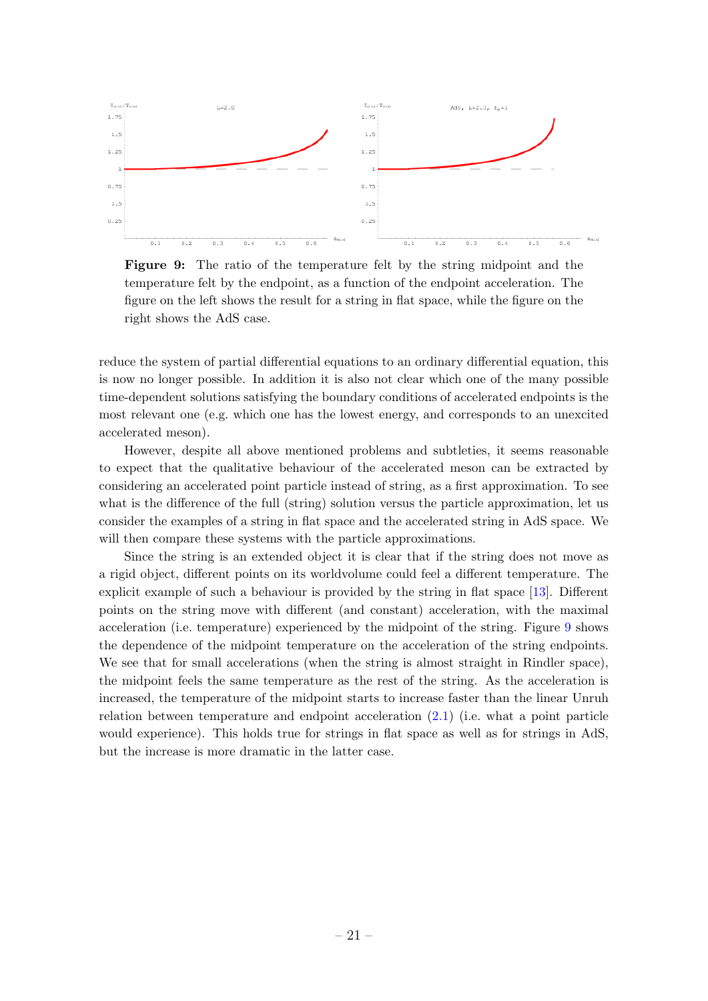<span id="page-22-0"></span>

Figure 9: The ratio of the temperature felt by the string midpoint and the temperature felt by the endpoint, as a function of the endpoint acceleration. The figure on the left shows the result for a string in flat space, while the figure on the right shows the AdS case.

reduce the system of partial differential equations to an ordinary differential equation, this is now no longer possible. In addition it is also not clear which one of the many possible time-dependent solutions satisfying the boundary conditions of accelerated endpoints is the most relevant one (e.g. which one has the lowest energy, and corresponds to an unexcited accelerated meson).

However, despite all above mentioned problems and subtleties, it seems reasonable to expect that the qualitative behaviour of the accelerated meson can be extracted by considering an accelerated point particle instead of string, as a first approximation. To see what is the difference of the full (string) solution versus the particle approximation, let us consider the examples of a string in flat space and the accelerated string in AdS space. We will then compare these systems with the particle approximations.

Since the string is an extended object it is clear that if the string does not move as a rigid object, different points on its worldvolume could feel a different temperature. The explicit example of such a behaviour is provided by the string in flat space [\[13\]](#page-26-12). Different points on the string move with different (and constant) acceleration, with the maximal acceleration (i.e. temperature) experienced by the midpoint of the string. Figure [9](#page-22-0) shows the dependence of the midpoint temperature on the acceleration of the string endpoints. We see that for small accelerations (when the string is almost straight in Rindler space), the midpoint feels the same temperature as the rest of the string. As the acceleration is increased, the temperature of the midpoint starts to increase faster than the linear Unruh relation between temperature and endpoint acceleration  $(2.1)$  (i.e. what a point particle would experience). This holds true for strings in flat space as well as for strings in AdS, but the increase is more dramatic in the latter case.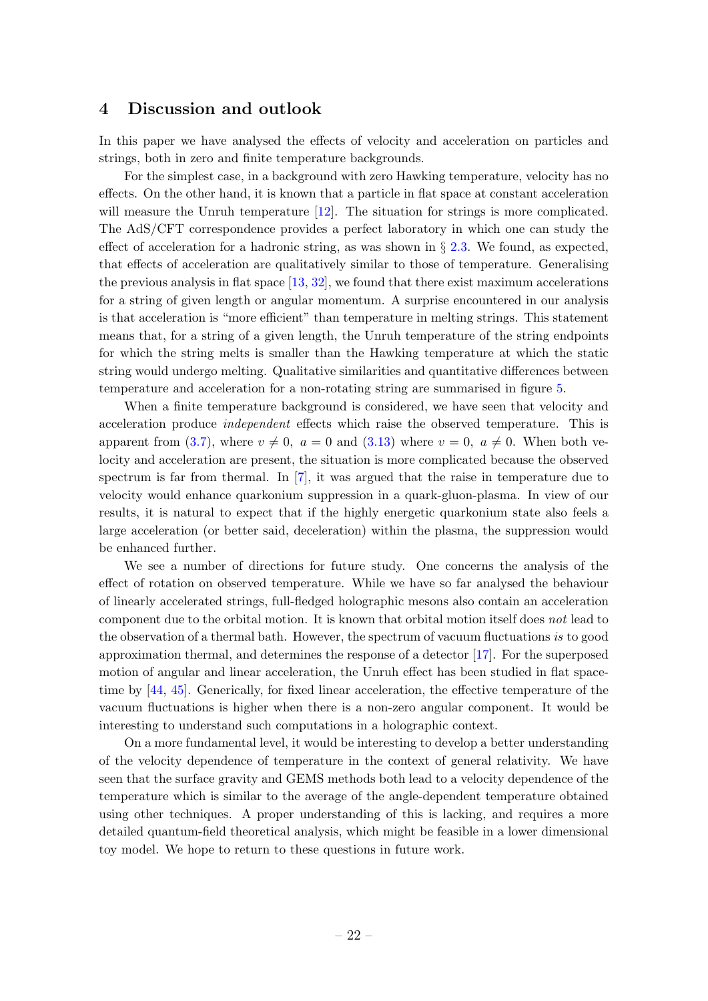### <span id="page-23-0"></span>4 Discussion and outlook

In this paper we have analysed the effects of velocity and acceleration on particles and strings, both in zero and finite temperature backgrounds.

For the simplest case, in a background with zero Hawking temperature, velocity has no effects. On the other hand, it is known that a particle in flat space at constant acceleration will measure the Unruh temperature [\[12\]](#page-26-11). The situation for strings is more complicated. The AdS/CFT correspondence provides a perfect laboratory in which one can study the effect of acceleration for a hadronic string, as was shown in  $\S 2.3$ . We found, as expected, that effects of acceleration are qualitatively similar to those of temperature. Generalising the previous analysis in flat space  $[13, 32]$  $[13, 32]$  $[13, 32]$ , we found that there exist maximum accelerations for a string of given length or angular momentum. A surprise encountered in our analysis is that acceleration is "more efficient" than temperature in melting strings. This statement means that, for a string of a given length, the Unruh temperature of the string endpoints for which the string melts is smaller than the Hawking temperature at which the static string would undergo melting. Qualitative similarities and quantitative differences between temperature and acceleration for a non-rotating string are summarised in figure [5.](#page-14-0)

When a finite temperature background is considered, we have seen that velocity and acceleration produce independent effects which raise the observed temperature. This is apparent from [\(3.7\)](#page-19-2), where  $v \neq 0$ ,  $a = 0$  and [\(3.13\)](#page-21-2) where  $v = 0$ ,  $a \neq 0$ . When both velocity and acceleration are present, the situation is more complicated because the observed spectrum is far from thermal. In [\[7\]](#page-26-6), it was argued that the raise in temperature due to velocity would enhance quarkonium suppression in a quark-gluon-plasma. In view of our results, it is natural to expect that if the highly energetic quarkonium state also feels a large acceleration (or better said, deceleration) within the plasma, the suppression would be enhanced further.

We see a number of directions for future study. One concerns the analysis of the effect of rotation on observed temperature. While we have so far analysed the behaviour of linearly accelerated strings, full-fledged holographic mesons also contain an acceleration component due to the orbital motion. It is known that orbital motion itself does not lead to the observation of a thermal bath. However, the spectrum of vacuum fluctuations is to good approximation thermal, and determines the response of a detector [\[17\]](#page-27-1). For the superposed motion of angular and linear acceleration, the Unruh effect has been studied in flat spacetime by [\[44,](#page-28-11) [45\]](#page-28-12). Generically, for fixed linear acceleration, the effective temperature of the vacuum fluctuations is higher when there is a non-zero angular component. It would be interesting to understand such computations in a holographic context.

On a more fundamental level, it would be interesting to develop a better understanding of the velocity dependence of temperature in the context of general relativity. We have seen that the surface gravity and GEMS methods both lead to a velocity dependence of the temperature which is similar to the average of the angle-dependent temperature obtained using other techniques. A proper understanding of this is lacking, and requires a more detailed quantum-field theoretical analysis, which might be feasible in a lower dimensional toy model. We hope to return to these questions in future work.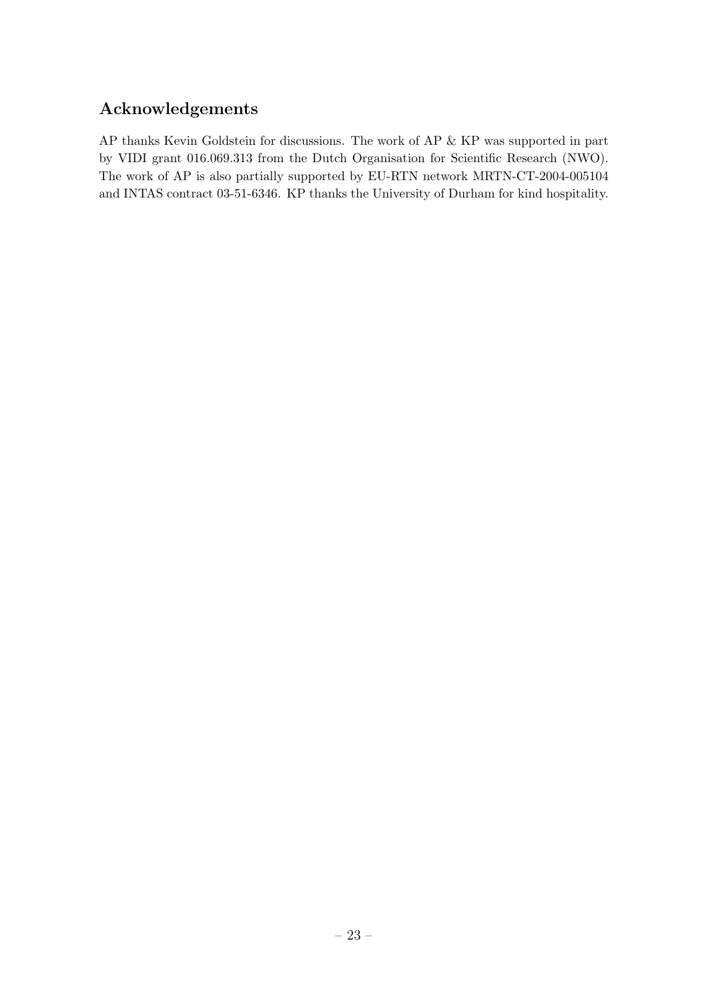# Acknowledgements

AP thanks Kevin Goldstein for discussions. The work of AP & KP was supported in part by VIDI grant 016.069.313 from the Dutch Organisation for Scientific Research (NWO). The work of AP is also partially supported by EU-RTN network MRTN-CT-2004-005104 and INTAS contract 03-51-6346. KP thanks the University of Durham for kind hospitality.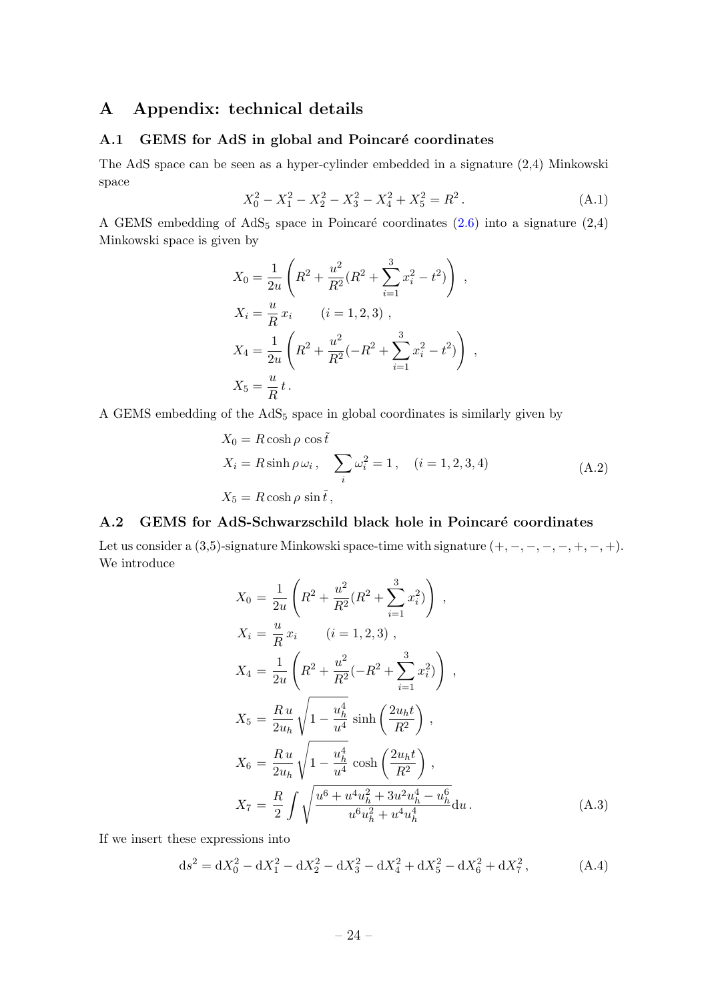### <span id="page-25-0"></span>A Appendix: technical details

#### <span id="page-25-1"></span>A.1 GEMS for AdS in global and Poincaré coordinates

The AdS space can be seen as a hyper-cylinder embedded in a signature (2,4) Minkowski space

$$
X_0^2 - X_1^2 - X_2^2 - X_3^2 - X_4^2 + X_5^2 = R^2.
$$
 (A.1)

A GEMS embedding of  $AdS_5$  space in Poincaré coordinates  $(2.6)$  into a signature  $(2.4)$ Minkowski space is given by

$$
X_0 = \frac{1}{2u} \left( R^2 + \frac{u^2}{R^2} (R^2 + \sum_{i=1}^3 x_i^2 - t^2) \right) ,
$$
  
\n
$$
X_i = \frac{u}{R} x_i \qquad (i = 1, 2, 3) ,
$$
  
\n
$$
X_4 = \frac{1}{2u} \left( R^2 + \frac{u^2}{R^2} (-R^2 + \sum_{i=1}^3 x_i^2 - t^2) \right) ,
$$
  
\n
$$
X_5 = \frac{u}{R} t .
$$

A GEMS embedding of the AdS<sup>5</sup> space in global coordinates is similarly given by

$$
X_0 = R \cosh \rho \cos \tilde{t}
$$
  
\n
$$
X_i = R \sinh \rho \omega_i, \quad \sum_i \omega_i^2 = 1, \quad (i = 1, 2, 3, 4)
$$
  
\n
$$
X_5 = R \cosh \rho \sin \tilde{t}, \qquad (A.2)
$$

#### <span id="page-25-2"></span>A.2 GEMS for AdS-Schwarzschild black hole in Poincaré coordinates

Let us consider a  $(3,5)$ -signature Minkowski space-time with signature  $(+, -, -, -, +, -, +)$ . We introduce

<span id="page-25-3"></span>
$$
X_0 = \frac{1}{2u} \left( R^2 + \frac{u^2}{R^2} (R^2 + \sum_{i=1}^3 x_i^2) \right) ,
$$
  
\n
$$
X_i = \frac{u}{R} x_i \qquad (i = 1, 2, 3) ,
$$
  
\n
$$
X_4 = \frac{1}{2u} \left( R^2 + \frac{u^2}{R^2} (-R^2 + \sum_{i=1}^3 x_i^2) \right) ,
$$
  
\n
$$
X_5 = \frac{R u}{2u_h} \sqrt{1 - \frac{u_h^4}{u^4}} \sinh\left(\frac{2u_h t}{R^2}\right) ,
$$
  
\n
$$
X_6 = \frac{R u}{2u_h} \sqrt{1 - \frac{u_h^4}{u^4}} \cosh\left(\frac{2u_h t}{R^2}\right) ,
$$
  
\n
$$
X_7 = \frac{R}{2} \int \sqrt{\frac{u^6 + u^4 u_h^2 + 3u^2 u_h^4 - u_h^6}{u^6 u_h^2 + u^4 u_h^4}} du .
$$
 (A.3)

If we insert these expressions into

$$
ds^{2} = dX_{0}^{2} - dX_{1}^{2} - dX_{2}^{2} - dX_{3}^{2} - dX_{4}^{2} + dX_{5}^{2} - dX_{6}^{2} + dX_{7}^{2}, \qquad (A.4)
$$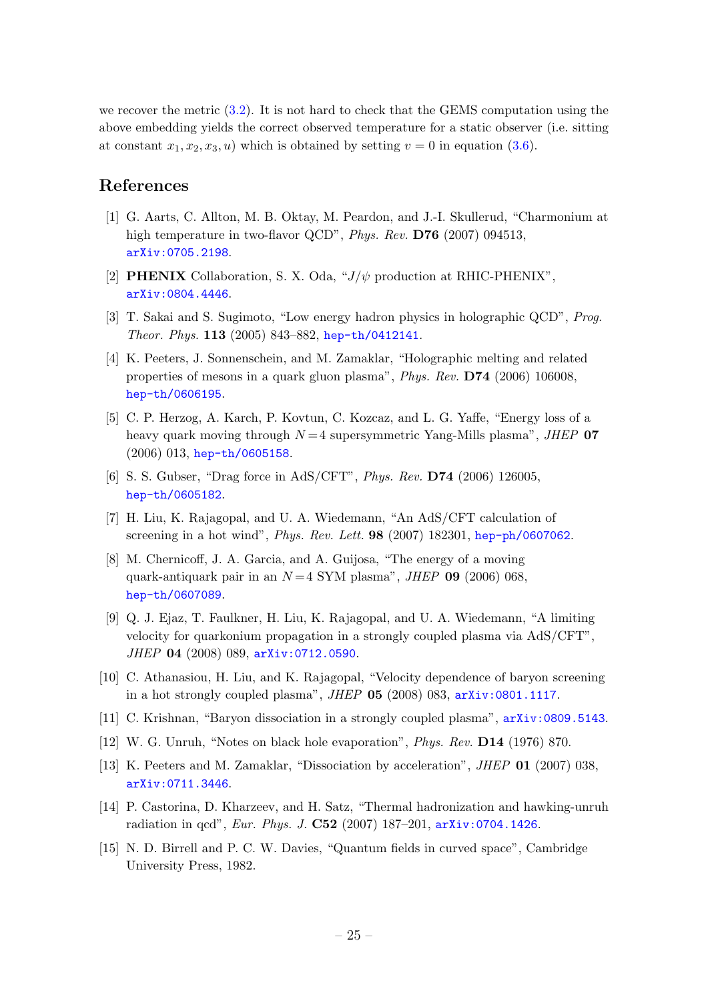we recover the metric [\(3.2\)](#page-18-2). It is not hard to check that the GEMS computation using the above embedding yields the correct observed temperature for a static observer (i.e. sitting at constant  $x_1, x_2, x_3, u$  which is obtained by setting  $v = 0$  in equation [\(3.6\)](#page-19-1).

### References

- <span id="page-26-0"></span>[1] G. Aarts, C. Allton, M. B. Oktay, M. Peardon, and J.-I. Skullerud, "Charmonium at high temperature in two-flavor QCD", *Phys. Rev.* **D76** (2007) 094513, [arXiv:0705.2198](http://xxx.lanl.gov/abs/0705.2198).
- <span id="page-26-1"></span>[2] **PHENIX** Collaboration, S. X. Oda,  $\mathcal{I}/\psi$  production at RHIC-PHENIX", [arXiv:0804.4446](http://xxx.lanl.gov/abs/0804.4446).
- <span id="page-26-2"></span>[3] T. Sakai and S. Sugimoto, "Low energy hadron physics in holographic QCD", Prog. Theor. Phys. 113 (2005) 843–882, [hep-th/0412141](http://xxx.lanl.gov/abs/hep-th/0412141).
- <span id="page-26-3"></span>[4] K. Peeters, J. Sonnenschein, and M. Zamaklar, "Holographic melting and related properties of mesons in a quark gluon plasma", Phys. Rev. D74 (2006) 106008, [hep-th/0606195](http://xxx.lanl.gov/abs/hep-th/0606195).
- <span id="page-26-4"></span>[5] C. P. Herzog, A. Karch, P. Kovtun, C. Kozcaz, and L. G. Yaffe, "Energy loss of a heavy quark moving through  $N = 4$  supersymmetric Yang-Mills plasma", JHEP 07 (2006) 013, [hep-th/0605158](http://xxx.lanl.gov/abs/hep-th/0605158).
- <span id="page-26-5"></span>[6] S. S. Gubser, "Drag force in AdS/CFT", Phys. Rev. D74 (2006) 126005, [hep-th/0605182](http://xxx.lanl.gov/abs/hep-th/0605182).
- <span id="page-26-6"></span>[7] H. Liu, K. Rajagopal, and U. A. Wiedemann, "An AdS/CFT calculation of screening in a hot wind", Phys. Rev. Lett. 98 (2007) 182301, [hep-ph/0607062](http://xxx.lanl.gov/abs/hep-ph/0607062).
- <span id="page-26-7"></span>[8] M. Chernicoff, J. A. Garcia, and A. Guijosa, "The energy of a moving quark-antiquark pair in an  $N=4$  SYM plasma", JHEP 09 (2006) 068, [hep-th/0607089](http://xxx.lanl.gov/abs/hep-th/0607089).
- <span id="page-26-8"></span>[9] Q. J. Ejaz, T. Faulkner, H. Liu, K. Rajagopal, and U. A. Wiedemann, "A limiting velocity for quarkonium propagation in a strongly coupled plasma via AdS/CFT", JHEP 04 (2008) 089, [arXiv:0712.0590](http://xxx.lanl.gov/abs/0712.0590).
- <span id="page-26-9"></span>[10] C. Athanasiou, H. Liu, and K. Rajagopal, "Velocity dependence of baryon screening in a hot strongly coupled plasma", JHEP 05 (2008) 083, [arXiv:0801.1117](http://xxx.lanl.gov/abs/0801.1117).
- <span id="page-26-10"></span>[11] C. Krishnan, "Baryon dissociation in a strongly coupled plasma", [arXiv:0809.5143](http://xxx.lanl.gov/abs/0809.5143).
- <span id="page-26-11"></span>[12] W. G. Unruh, "Notes on black hole evaporation", Phys. Rev. D14 (1976) 870.
- <span id="page-26-12"></span>[13] K. Peeters and M. Zamaklar, "Dissociation by acceleration", JHEP 01 (2007) 038, [arXiv:0711.3446](http://xxx.lanl.gov/abs/0711.3446).
- <span id="page-26-13"></span>[14] P. Castorina, D. Kharzeev, and H. Satz, "Thermal hadronization and hawking-unruh radiation in qcd", Eur. Phys. J. C52 (2007) 187–201, [arXiv:0704.1426](http://xxx.lanl.gov/abs/0704.1426).
- <span id="page-26-14"></span>[15] N. D. Birrell and P. C. W. Davies, "Quantum fields in curved space", Cambridge University Press, 1982.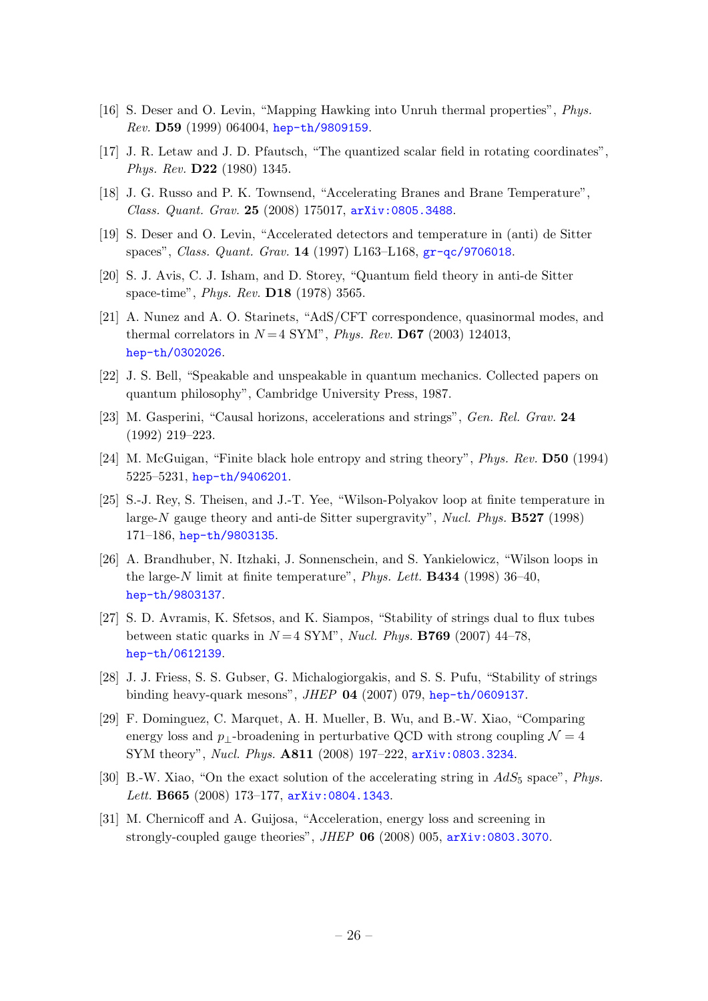- <span id="page-27-0"></span>[16] S. Deser and O. Levin, "Mapping Hawking into Unruh thermal properties", *Phys.* Rev. D59 (1999) 064004, [hep-th/9809159](http://xxx.lanl.gov/abs/hep-th/9809159).
- <span id="page-27-1"></span>[17] J. R. Letaw and J. D. Pfautsch, "The quantized scalar field in rotating coordinates", Phys. Rev. D22 (1980) 1345.
- <span id="page-27-2"></span>[18] J. G. Russo and P. K. Townsend, "Accelerating Branes and Brane Temperature", Class. Quant. Grav. 25 (2008) 175017, [arXiv:0805.3488](http://xxx.lanl.gov/abs/0805.3488).
- <span id="page-27-3"></span>[19] S. Deser and O. Levin, "Accelerated detectors and temperature in (anti) de Sitter spaces", Class. Quant. Grav. 14 (1997) L163–L168, [gr-qc/9706018](http://xxx.lanl.gov/abs/gr-qc/9706018).
- <span id="page-27-4"></span>[20] S. J. Avis, C. J. Isham, and D. Storey, "Quantum field theory in anti-de Sitter space-time", Phys. Rev. D18 (1978) 3565.
- <span id="page-27-5"></span>[21] A. Nunez and A. O. Starinets, "AdS/CFT correspondence, quasinormal modes, and thermal correlators in  $N=4$  SYM", *Phys. Rev.* **D67** (2003) 124013, [hep-th/0302026](http://xxx.lanl.gov/abs/hep-th/0302026).
- <span id="page-27-6"></span>[22] J. S. Bell, "Speakable and unspeakable in quantum mechanics. Collected papers on quantum philosophy", Cambridge University Press, 1987.
- <span id="page-27-7"></span>[23] M. Gasperini, "Causal horizons, accelerations and strings", Gen. Rel. Grav. 24 (1992) 219–223.
- <span id="page-27-8"></span>[24] M. McGuigan, "Finite black hole entropy and string theory", Phys. Rev. D50 (1994) 5225–5231, [hep-th/9406201](http://xxx.lanl.gov/abs/hep-th/9406201).
- <span id="page-27-9"></span>[25] S.-J. Rey, S. Theisen, and J.-T. Yee, "Wilson-Polyakov loop at finite temperature in large-N gauge theory and anti-de Sitter supergravity", Nucl. Phys. B527 (1998) 171–186, [hep-th/9803135](http://xxx.lanl.gov/abs/hep-th/9803135).
- <span id="page-27-10"></span>[26] A. Brandhuber, N. Itzhaki, J. Sonnenschein, and S. Yankielowicz, "Wilson loops in the large- $N$  limit at finite temperature", *Phys. Lett.* **B434** (1998) 36–40, [hep-th/9803137](http://xxx.lanl.gov/abs/hep-th/9803137).
- <span id="page-27-11"></span>[27] S. D. Avramis, K. Sfetsos, and K. Siampos, "Stability of strings dual to flux tubes between static quarks in  $N=4$  SYM", *Nucl. Phys.* **B769** (2007) 44–78, [hep-th/0612139](http://xxx.lanl.gov/abs/hep-th/0612139).
- <span id="page-27-12"></span>[28] J. J. Friess, S. S. Gubser, G. Michalogiorgakis, and S. S. Pufu, "Stability of strings binding heavy-quark mesons", JHEP 04 (2007) 079, [hep-th/0609137](http://xxx.lanl.gov/abs/hep-th/0609137).
- <span id="page-27-13"></span>[29] F. Dominguez, C. Marquet, A. H. Mueller, B. Wu, and B.-W. Xiao, "Comparing energy loss and  $p_{\perp}$ -broadening in perturbative QCD with strong coupling  $\mathcal{N} = 4$ SYM theory", Nucl. Phys. A811 (2008) 197–222, [arXiv:0803.3234](http://xxx.lanl.gov/abs/0803.3234).
- <span id="page-27-14"></span>[30] B.-W. Xiao, "On the exact solution of the accelerating string in  $AdS_5$  space", *Phys.* Lett. B665 (2008) 173-177, arXiv: 0804.1343.
- <span id="page-27-15"></span>[31] M. Chernicoff and A. Guijosa, "Acceleration, energy loss and screening in strongly-coupled gauge theories", JHEP  $06$  (2008) 005,  $arXiv:0803.3070$ .